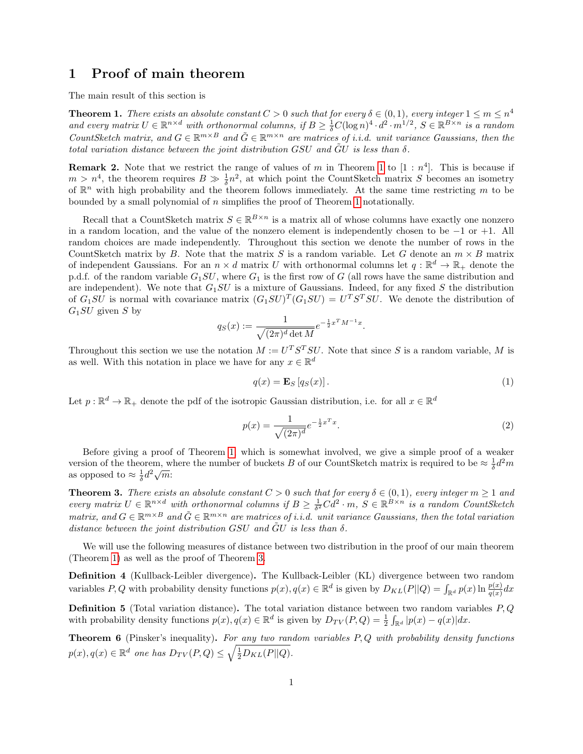# 1 Proof of main theorem

The main result of this section is

<span id="page-0-0"></span>**Theorem 1.** There exists an absolute constant  $C > 0$  such that for every  $\delta \in (0,1)$ , every integer  $1 \le m \le n^4$ and every matrix  $U \in \mathbb{R}^{n \times d}$  with orthonormal columns, if  $B \geq \frac{1}{\delta}C(\log n)^4 \cdot d^2 \cdot m^{1/2}$ ,  $S \in \mathbb{R}^{B \times n}$  is a random CountSketch matrix, and  $G \in \mathbb{R}^{m \times B}$  and  $\tilde{G} \in \mathbb{R}^{m \times n}$  are matrices of i.i.d. unit variance Gaussians, then the total variation distance between the joint distribution  $GSU$  and  $\ddot{G}U$  is less than  $\delta$ .

**Remark 2.** Note that we restrict the range of values of m in Theorem [1](#page-0-0) to  $[1 : n^4]$ . This is because if  $m > n<sup>4</sup>$ , the theorem requires  $B \gg \frac{1}{\delta}n<sup>2</sup>$ , at which point the CountSketch matrix S becomes an isometry of  $\mathbb{R}^n$  with high probability and the theorem follows immediately. At the same time restricting m to be bounded by a small polynomial of  $n$  simplifies the proof of Theorem [1](#page-0-0) notationally.

Recall that a CountSketch matrix  $S \in \mathbb{R}^{B \times n}$  is a matrix all of whose columns have exactly one nonzero in a random location, and the value of the nonzero element is independently chosen to be −1 or +1. All random choices are made independently. Throughout this section we denote the number of rows in the CountSketch matrix by B. Note that the matrix S is a random variable. Let G denote an  $m \times B$  matrix of independent Gaussians. For an  $n \times d$  matrix U with orthonormal columns let  $q : \mathbb{R}^d \to \mathbb{R}_+$  denote the p.d.f. of the random variable  $G_1SU$ , where  $G_1$  is the first row of G (all rows have the same distribution and are independent). We note that  $G_1SU$  is a mixture of Gaussians. Indeed, for any fixed S the distribution of  $G_1SU$  is normal with covariance matrix  $(G_1SU)^T(G_1SU) = U^T S^T SU$ . We denote the distribution of  $G_1SU$  given S by

$$
q_S(x) := \frac{1}{\sqrt{(2\pi)^d \det M}} e^{-\frac{1}{2}x^T M^{-1}x}
$$

Throughout this section we use the notation  $M := U^T S^T SU$ . Note that since S is a random variable, M is as well. With this notation in place we have for any  $x \in \mathbb{R}^d$ 

<span id="page-0-2"></span>
$$
q(x) = \mathbf{E}_S \left[ q_S(x) \right]. \tag{1}
$$

.

Let  $p: \mathbb{R}^d \to \mathbb{R}_+$  denote the pdf of the isotropic Gaussian distribution, i.e. for all  $x \in \mathbb{R}^d$ 

$$
p(x) = \frac{1}{\sqrt{(2\pi)^d}} e^{-\frac{1}{2}x^T x}.
$$
\n(2)

Before giving a proof of Theorem [1,](#page-0-0) which is somewhat involved, we give a simple proof of a weaker version of the theorem, where the number of buckets B of our CountSketch matrix is required to be  $\approx \frac{1}{\delta}d^2m$ version of the theorem, w<br>as opposed to  $\approx \frac{1}{\delta}d^2\sqrt{m}$ :

<span id="page-0-1"></span>**Theorem 3.** There exists an absolute constant  $C > 0$  such that for every  $\delta \in (0,1)$ , every integer  $m \ge 1$  and every matrix  $U \in \mathbb{R}^{n \times d}$  with orthonormal columns if  $B \geq \frac{1}{\delta^2}C d^2 \cdot m$ ,  $S \in \mathbb{R}^{B \times n}$  is a random CountSketch matrix, and  $G \in \mathbb{R}^{m \times B}$  and  $\tilde{G} \in \mathbb{R}^{m \times n}$  are matrices of i.i.d. unit variance Gaussians, then the total variation distance between the joint distribution GSU and  $\tilde{G}U$  is less than  $\delta$ .

We will use the following measures of distance between two distribution in the proof of our main theorem (Theorem [1\)](#page-0-0) as well as the proof of Theorem [3.](#page-0-1)

Definition 4 (Kullback-Leibler divergence). The Kullback-Leibler (KL) divergence between two random variables P, Q with probability density functions  $p(x)$ ,  $q(x) \in \mathbb{R}^d$  is given by  $D_{KL}(P||Q) = \int_{\mathbb{R}^d} p(x) \ln \frac{p(x)}{q(x)} dx$ 

**Definition 5** (Total variation distance). The total variation distance between two random variables  $P$ ,  $Q$ with probability density functions  $p(x), q(x) \in \mathbb{R}^d$  is given by  $D_{TV}(P,Q) = \frac{1}{2} \int_{\mathbb{R}^d} |p(x) - q(x)| dx$ .

**Theorem 6** (Pinsker's inequality). For any two random variables  $P, Q$  with probability density functions  $p(x), q(x) \in \mathbb{R}^d$  one has  $D_{TV}(P,Q) \leq \sqrt{\frac{1}{2}D_{KL}(P||Q)}$ .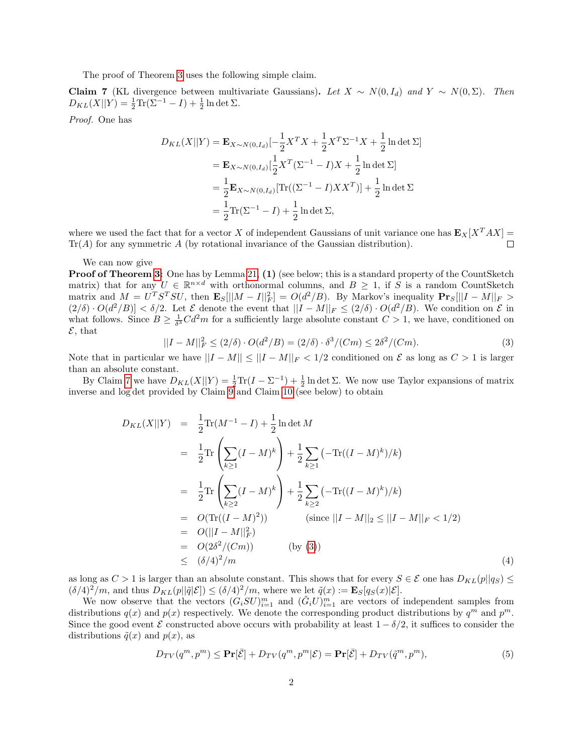The proof of Theorem [3](#page-0-1) uses the following simple claim.

<span id="page-1-0"></span>Claim 7 (KL divergence between multivariate Gaussians). Let  $X \sim N(0, I_d)$  and  $Y \sim N(0, \Sigma)$ . Then  $D_{KL}(X||Y) = \frac{1}{2}\text{Tr}(\Sigma^{-1} - I) + \frac{1}{2}\ln \det \Sigma.$ 

Proof. One has

$$
D_{KL}(X||Y) = \mathbf{E}_{X \sim N(0, I_d)}[-\frac{1}{2}X^TX + \frac{1}{2}X^T\Sigma^{-1}X + \frac{1}{2}\ln \det \Sigma]
$$
  
=  $\mathbf{E}_{X \sim N(0, I_d)}[\frac{1}{2}X^T(\Sigma^{-1} - I)X + \frac{1}{2}\ln \det \Sigma]$   
=  $\frac{1}{2}\mathbf{E}_{X \sim N(0, I_d)}[\text{Tr}((\Sigma^{-1} - I)XX^T)] + \frac{1}{2}\ln \det \Sigma$   
=  $\frac{1}{2}\text{Tr}(\Sigma^{-1} - I) + \frac{1}{2}\ln \det \Sigma,$ 

where we used the fact that for a vector X of independent Gaussians of unit variance one has  $\mathbf{E}_X[X^T A X] =$  $Tr(A)$  for any symmetric A (by rotational invariance of the Gaussian distribution).  $\Box$ 

#### We can now give

**Proof of Theorem [3:](#page-0-1)** One has by Lemma [21,](#page-10-0) (1) (see below; this is a standard property of the CountSketch matrix) that for any  $U \in \mathbb{R}^{n \times d}$  with orthonormal columns, and  $B \geq 1$ , if S is a random CountSketch matrix and  $M = U^T S^T SU$ , then  $\mathbf{E}_S[||M - I||_F^2] = O(d^2/B)$ . By Markov's inequality  $\mathbf{Pr}_S[||I - M||_F >$  $(2/\delta) \cdot O(d^2/B) < \delta/2$ . Let  $\mathcal E$  denote the event that  $||I - M||_F \le (2/\delta) \cdot O(d^2/B)$ . We condition on  $\mathcal E$  in what follows. Since  $B \geq \frac{1}{\delta^3} C d^2 m$  for a sufficiently large absolute constant  $C > 1$ , we have, conditioned on  $\mathcal{E}$ , that

<span id="page-1-1"></span>
$$
||I - M||_F^2 \le (2/\delta) \cdot O(d^2/B) = (2/\delta) \cdot \delta^3 / (Cm) \le 2\delta^2 / (Cm). \tag{3}
$$

Note that in particular we have  $||I - M|| \le ||I - M||_F < 1/2$  conditioned on  $\mathcal E$  as long as  $C > 1$  is larger than an absolute constant.

By Claim [7](#page-1-0) we have  $D_{KL}(X||Y) = \frac{1}{2}\text{Tr}(I - \Sigma^{-1}) + \frac{1}{2}\ln \det \Sigma$ . We now use Taylor expansions of matrix inverse and log det provided by Claim  $9$  and Claim [10](#page-5-1) (see below) to obtain

<span id="page-1-2"></span>
$$
D_{KL}(X||Y) = \frac{1}{2} \text{Tr}(M^{-1} - I) + \frac{1}{2} \ln \det M
$$
  
\n
$$
= \frac{1}{2} \text{Tr} \left( \sum_{k \ge 1} (I - M)^k \right) + \frac{1}{2} \sum_{k \ge 1} \left( -\text{Tr}((I - M)^k)/k \right)
$$
  
\n
$$
= \frac{1}{2} \text{Tr} \left( \sum_{k \ge 2} (I - M)^k \right) + \frac{1}{2} \sum_{k \ge 2} \left( -\text{Tr}((I - M)^k)/k \right)
$$
  
\n
$$
= O(\text{Tr}((I - M)^2)) \qquad \text{(since } ||I - M||_2 \le ||I - M||_F < 1/2)
$$
  
\n
$$
= O(||I - M||_F^2)
$$
  
\n
$$
= O(2\delta^2/(Cm)) \qquad \text{(by (3))}
$$
  
\n
$$
\le (\delta/4)^2/m \qquad (4)
$$

as long as  $C > 1$  is larger than an absolute constant. This shows that for every  $S \in \mathcal{E}$  one has  $D_{KL}(p||q_S) \leq$  $(\delta/4)^2/m$ , and thus  $D_{KL}(p||\tilde{q}|\mathcal{E}]) \leq (\delta/4)^2/m$ , where we let  $\tilde{q}(x) := \mathbf{E}_S[q_S(x)|\mathcal{E}].$ 

We now observe that the vectors  $(G_i SU)_{i=1}^m$  and  $(\tilde{G}_i U)_{i=1}^m$  are vectors of independent samples from distributions  $q(x)$  and  $p(x)$  respectively. We denote the corresponding product distributions by  $q^m$  and  $p^m$ . Since the good event E constructed above occurs with probability at least  $1 - \delta/2$ , it suffices to consider the distributions  $\tilde{q}(x)$  and  $p(x)$ , as

$$
D_{TV}(q^m, p^m) \le \Pr[\bar{\mathcal{E}}] + D_{TV}(q^m, p^m | \mathcal{E}) = \Pr[\bar{\mathcal{E}}] + D_{TV}(\tilde{q}^m, p^m),\tag{5}
$$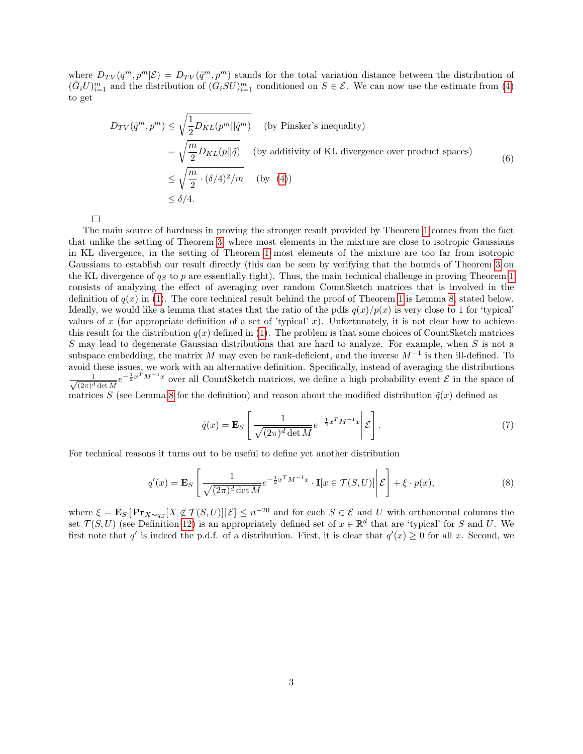where  $D_{TV}(q^m, p^m | \mathcal{E}) = D_{TV}(\tilde{q}^m, p^m)$  stands for the total variation distance between the distribution of  $(\tilde{G}_i U)_{i=1}^m$  and the distribution of  $(\tilde{G}_i SU)_{i=1}^m$  conditioned on  $S \in \mathcal{E}$ . We can now use the estimate from [\(4\)](#page-1-2) to get

$$
D_{TV}(\tilde{q}^m, p^m) \le \sqrt{\frac{1}{2}D_{KL}(p^m || \tilde{q}^m)}
$$
 (by Pinsker's inequality)  
\n
$$
= \sqrt{\frac{m}{2}D_{KL}(p||\tilde{q})}
$$
 (by additivity of KL divergence over product spaces)  
\n
$$
\le \sqrt{\frac{m}{2} \cdot (\delta/4)^2/m}
$$
 (by (4))  
\n
$$
\le \delta/4.
$$
 (6)

 $\Box$ 

The main source of hardness in proving the stronger result provided by Theorem [1](#page-0-0) comes from the fact that unlike the setting of Theorem [3,](#page-0-1) where most elements in the mixture are close to isotropic Gaussians in KL divergence, in the setting of Theorem [1](#page-0-0) most elements of the mixture are too far from isotropic Gaussians to establish our result directly (this can be seen by verifying that the bounds of Theorem [3](#page-0-1) on the KL divergence of  $q_S$  to p are essentially tight). Thus, the main technical challenge in proving Theorem [1](#page-0-0) consists of analyzing the effect of averaging over random CountSketch matrices that is involved in the definition of  $q(x)$  in [\(1\)](#page-0-2). The core technical result behind the proof of Theorem [1](#page-0-0) is Lemma [8,](#page-3-0) stated below. Ideally, we would like a lemma that states that the ratio of the pdfs  $q(x)/p(x)$  is very close to 1 for 'typical' values of x (for appropriate definition of a set of 'typical' x). Unfortunately, it is not clear how to achieve this result for the distribution  $q(x)$  defined in [\(1\)](#page-0-2). The problem is that some choices of CountSketch matrices  $S$  may lead to degenerate Gaussian distributions that are hard to analyze. For example, when  $S$  is not a subspace embedding, the matrix M may even be rank-deficient, and the inverse  $M^{-1}$  is then ill-defined. To avoid these issues, we work with an alternative definition. Specifically, instead of averaging the distributions  $\frac{1}{\sqrt{1-\frac{1}{\sqrt{1-\frac{1}{\sqrt{1-\frac{1}{\sqrt{1-\frac{1}{\sqrt{1-\frac{1}{\sqrt{1-\frac{1}{\sqrt{1-\frac{1}{\sqrt{1-\frac{1}{\sqrt{1-\frac{1}{\sqrt{1-\frac{1}{\sqrt{1-\frac{1}{\sqrt{1-\frac{1}{\sqrt{1-\frac{1}{\sqrt{1-\frac{1}{\sqrt{1-\frac{1}{\sqrt{1-\frac{1}{\sqrt{1-\frac{1}{\sqrt{1-\frac{1}{\sqrt{1-\frac{1}{\sqrt{1-\frac{1}{\sqrt{1-\frac{1}{\sqrt{1-\frac{1}{\sqrt{1-\frac{1}{\sqrt{1-\frac{1$  $\frac{1}{(2\pi)^d \det M} e^{-\frac{1}{2}x^T M^{-1}x}$  over all CountSketch matrices, we define a high probability event  $\mathcal E$  in the space of matrices S (see Lemma [8](#page-3-0) for the definition) and reason about the modified distribution  $\tilde{q}(x)$  defined as

<span id="page-2-0"></span>
$$
\tilde{q}(x) = \mathbf{E}_S \left[ \frac{1}{\sqrt{(2\pi)^d \det M}} e^{-\frac{1}{2}x^T M^{-1} x} \middle| \mathcal{E} \right]. \tag{7}
$$

For technical reasons it turns out to be useful to define yet another distribution

<span id="page-2-1"></span>
$$
q'(x) = \mathbf{E}_S \left[ \frac{1}{\sqrt{(2\pi)^d \det M}} e^{-\frac{1}{2}x^T M^{-1} x} \cdot \mathbf{I}[x \in \mathcal{T}(S, U)] \middle| \mathcal{E} \right] + \xi \cdot p(x), \tag{8}
$$

where  $\xi = \mathbf{E}_S [\mathbf{Pr}_{X \sim q_S}[X \notin \mathcal{T}(S, U)] | \mathcal{E}] \leq n^{-20}$  and for each  $S \in \mathcal{E}$  and U with orthonormal columns the set  $\mathcal{T}(S, U)$  (see Definition [12\)](#page-6-0) is an appropriately defined set of  $x \in \mathbb{R}^d$  that are 'typical' for S and U. We first note that  $q'$  is indeed the p.d.f. of a distribution. First, it is clear that  $q'(x) \geq 0$  for all x. Second, we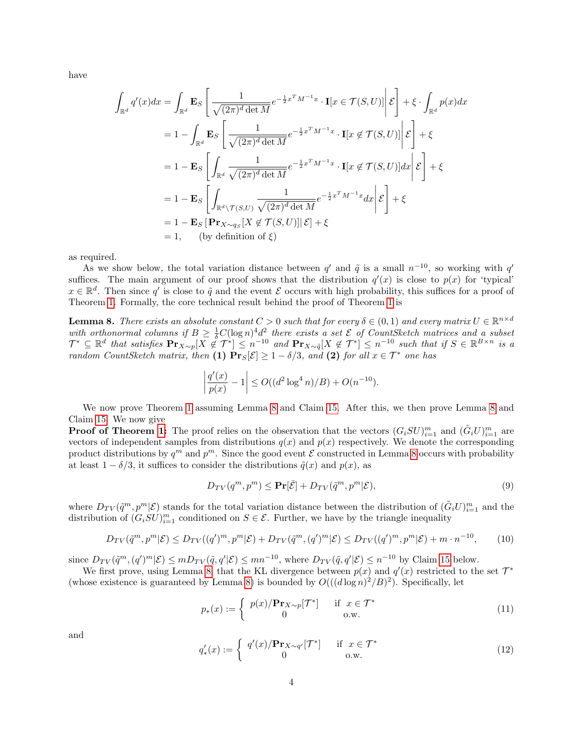have

$$
\int_{\mathbb{R}^d} q'(x) dx = \int_{\mathbb{R}^d} \mathbf{E}_S \left[ \frac{1}{\sqrt{(2\pi)^d \det M}} e^{-\frac{1}{2}x^T M^{-1}x} \cdot \mathbf{I}[x \in \mathcal{T}(S, U)] \middle| \mathcal{E} \right] + \xi \cdot \int_{\mathbb{R}^d} p(x) dx
$$
  
\n
$$
= 1 - \int_{\mathbb{R}^d} \mathbf{E}_S \left[ \frac{1}{\sqrt{(2\pi)^d \det M}} e^{-\frac{1}{2}x^T M^{-1}x} \cdot \mathbf{I}[x \notin \mathcal{T}(S, U)] \middle| \mathcal{E} \right] + \xi
$$
  
\n
$$
= 1 - \mathbf{E}_S \left[ \int_{\mathbb{R}^d} \frac{1}{\sqrt{(2\pi)^d \det M}} e^{-\frac{1}{2}x^T M^{-1}x} \cdot \mathbf{I}[x \notin \mathcal{T}(S, U)] dx \middle| \mathcal{E} \right] + \xi
$$
  
\n
$$
= 1 - \mathbf{E}_S \left[ \int_{\mathbb{R}^d \setminus \mathcal{T}(S, U)} \frac{1}{\sqrt{(2\pi)^d \det M}} e^{-\frac{1}{2}x^T M^{-1}x} dx \middle| \mathcal{E} \right] + \xi
$$
  
\n
$$
= 1 - \mathbf{E}_S \left[ \mathbf{Pr}_{X \sim q_S}[X \notin \mathcal{T}(S, U)] \middle| \mathcal{E} \right] + \xi
$$
  
\n
$$
= 1, \quad \text{(by definition of } \xi)
$$

as required.

As we show below, the total variation distance between  $q'$  and  $\tilde{q}$  is a small  $n^{-10}$ , so working with  $q'$ suffices. The main argument of our proof shows that the distribution  $q'(x)$  is close to  $p(x)$  for 'typical'  $x \in \mathbb{R}^d$ . Then since q' is close to  $\tilde{q}$  and the event E occurs with high probability, this suffices for a proof of Theorem [1.](#page-0-0) Formally, the core technical result behind the proof of Theorem [1](#page-0-0) is

<span id="page-3-0"></span>**Lemma 8.** There exists an absolute constant  $C > 0$  such that for every  $\delta \in (0,1)$  and every matrix  $U \in \mathbb{R}^{n \times d}$ with orthonormal columns if  $B \geq \frac{1}{\delta}C(\log n)^4 d^2$  there exists a set  $\mathcal E$  of CountSketch matrices and a subset  $\mathcal{T}^* \subseteq \mathbb{R}^d$  that satisfies  $\mathbf{Pr}_{X \sim p}[X \notin \mathcal{T}^*] \leq n^{-10}$  and  $\mathbf{Pr}_{X \sim \tilde{q}}[X \notin \mathcal{T}^*] \leq n^{-10}$  such that if  $S \in \mathbb{R}^{B \times n}$  is a random CountSketch matrix, then (1)  $Pr_S[\mathcal{E}] \geq 1 - \delta/3$ , and (2) for all  $x \in \mathcal{T}^*$  one has

$$
\left| \frac{q'(x)}{p(x)} - 1 \right| \le O((d^2 \log^4 n)/B) + O(n^{-10}).
$$

We now prove Theorem [1](#page-0-0) assuming Lemma [8](#page-3-0) and Claim [15.](#page-6-1) After this, we then prove Lemma 8 and Claim [15.](#page-6-1) We now give

**Proof of Theorem [1:](#page-0-0)** The proof relies on the observation that the vectors  $(G_i SU)_{i=1}^m$  and  $(\tilde{G}_i U)_{i=1}^m$  are vectors of independent samples from distributions  $q(x)$  and  $p(x)$  respectively. We denote the corresponding product distributions by  $q^m$  and  $p^m$ . Since the good event  $\mathcal E$  constructed in Lemma [8](#page-3-0) occurs with probability at least  $1 - \delta/3$ , it suffices to consider the distributions  $\tilde{q}(x)$  and  $p(x)$ , as

<span id="page-3-2"></span>
$$
D_{TV}(q^m, p^m) \le \mathbf{Pr}[\bar{\mathcal{E}}] + D_{TV}(\tilde{q}^m, p^m | \mathcal{E}),\tag{9}
$$

where  $D_{TV}(\tilde{q}^m, p^m | \mathcal{E})$  stands for the total variation distance between the distribution of  $(\tilde{G}_i U)_{i=1}^m$  and the distribution of  $(G_i SU)_{i=1}^m$  conditioned on  $S \in \mathcal{E}$ . Further, we have by the triangle inequality

<span id="page-3-1"></span>
$$
D_{TV}(\tilde{q}^m, p^m | \mathcal{E}) \le D_{TV}((q')^m, p^m | \mathcal{E}) + D_{TV}(\tilde{q}^m, (q')^m | \mathcal{E}) \le D_{TV}((q')^m, p^m | \mathcal{E}) + m \cdot n^{-10},\tag{10}
$$

since  $D_{TV}(\tilde{q}^m, (q')^m | \mathcal{E}) \leq m D_{TV}(\tilde{q}, q' | \mathcal{E}) \leq m n^{-10}$ , where  $D_{TV}(\tilde{q}, q' | \mathcal{E}) \leq n^{-10}$  by Claim [15](#page-6-1) below.

We first prove, using Lemma [8,](#page-3-0) that the KL divergence between  $p(x)$  and  $q'(x)$  restricted to the set  $\mathcal{T}^*$ (whose existence is guaranteed by Lemma [8\)](#page-3-0) is bounded by  $O(((d \log n)^2/B)^2)$ . Specifically, let

$$
p_*(x) := \begin{cases} p(x)/\mathbf{Pr}_{X \sim p}[\mathcal{T}^*] & \text{if } x \in \mathcal{T}^* \\ 0 & \text{o.w.} \end{cases}
$$
(11)

and

$$
q'_{*}(x) := \begin{cases} q'(x)/\mathbf{Pr}_{X \sim q'}[\mathcal{T}^*] & \text{if } x \in \mathcal{T}^* \\ 0 & \text{o.w.} \end{cases}
$$
(12)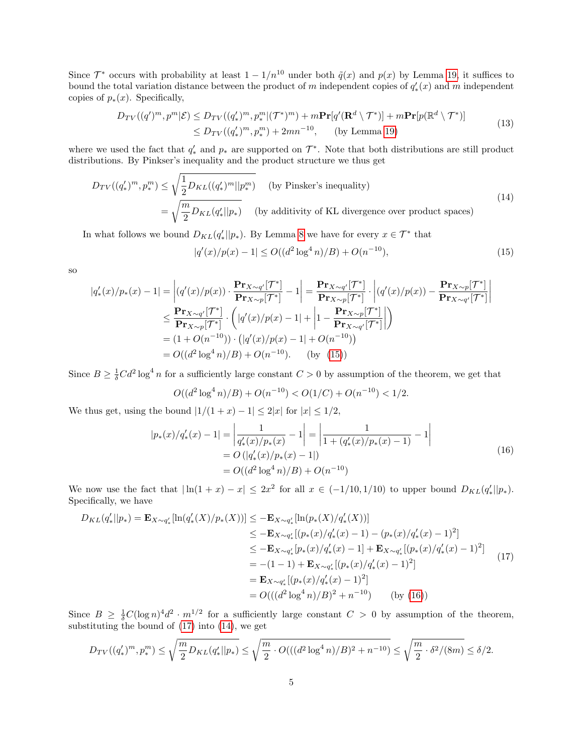Since  $\mathcal{T}^*$  occurs with probability at least  $1 - 1/n^{10}$  under both  $\tilde{q}(x)$  and  $p(x)$  by Lemma [19,](#page-7-0) it suffices to bound the total variation distance between the product of m independent copies of  $q'_{*}(x)$  and m independent copies of  $p_*(x)$ . Specifically,

$$
D_{TV}((q')^m, p^m | \mathcal{E}) \le D_{TV}((q'_*)^m, p_*^m | (\mathcal{T}^*)^m) + m \mathbf{Pr}[q'(\mathbf{R}^d \setminus \mathcal{T}^*)] + m \mathbf{Pr}[p(\mathbb{R}^d \setminus \mathcal{T}^*)]
$$
  
\n
$$
\le D_{TV}((q'_*)^m, p_*^m) + 2mn^{-10}, \qquad \text{(by Lemma 19)}
$$
\n
$$
(13)
$$

<span id="page-4-4"></span>where we used the fact that  $q'_*$  and  $p_*$  are supported on  $\mathcal{T}^*$ . Note that both distributions are still product distributions. By Pinkser's inequality and the product structure we thus get

<span id="page-4-3"></span>
$$
D_{TV}((q'_*)^m, p_*^m) \le \sqrt{\frac{1}{2}D_{KL}((q'_*)^m||p_*^m)}
$$
 (by Pinsker's inequality)  

$$
= \sqrt{\frac{m}{2}D_{KL}(q'_*||p_*)}
$$
 (by additivity of KL divergence over product spaces) (14)

In what follows we bound  $D_{KL}(q'_{*}||p_{*})$ . By Lemma [8](#page-3-0) we have for every  $x \in \mathcal{T}^*$  that

<span id="page-4-0"></span>
$$
|q'(x)/p(x) - 1| \le O((d^2 \log^4 n)/B) + O(n^{-10}),\tag{15}
$$

so

$$
|q'_{*}(x)/p_{*}(x) - 1| = |(q'(x)/p(x)) \cdot \frac{\mathbf{Pr}_{X \sim q'}[\mathcal{T}^{*}]}{\mathbf{Pr}_{X \sim p}[\mathcal{T}^{*}]} - 1| = \frac{\mathbf{Pr}_{X \sim q'}[\mathcal{T}^{*}]}{\mathbf{Pr}_{X \sim p}[\mathcal{T}^{*}]} \cdot |(q'(x)/p(x)) - \frac{\mathbf{Pr}_{X \sim p}[\mathcal{T}^{*}]}{\mathbf{Pr}_{X \sim q'}[\mathcal{T}^{*}]}| \le \frac{\mathbf{Pr}_{X \sim q'}[\mathcal{T}^{*}]}{\mathbf{Pr}_{X \sim p}[\mathcal{T}^{*}]} \cdot (|q'(x)/p(x) - 1| + |1 - \frac{\mathbf{Pr}_{X \sim p}[\mathcal{T}^{*}]}{\mathbf{Pr}_{X \sim q'}[\mathcal{T}^{*}]}|)\n= (1 + O(n^{-10})) \cdot (|q'(x)/p(x) - 1| + O(n^{-10}))\n= O((d^{2} \log^{4} n)/B) + O(n^{-10}). \quad \text{(by (15))}
$$

Since  $B \geq \frac{1}{\delta}Cd^2 \log^4 n$  for a sufficiently large constant  $C > 0$  by assumption of the theorem, we get that

$$
O((d^2 \log^4 n)/B) + O(n^{-10}) < O(1/C) + O(n^{-10}) < 1/2.
$$

<span id="page-4-1"></span>We thus get, using the bound  $|1/(1+x) - 1| \leq 2|x|$  for  $|x| \leq 1/2$ ,

$$
|p_*(x)/q'_*(x) - 1| = \left| \frac{1}{q'_*(x)/p_*(x)} - 1 \right| = \left| \frac{1}{1 + (q'_*(x)/p_*(x) - 1)} - 1 \right|
$$
  
=  $O(|q'_*(x)/p_*(x) - 1|)$   
=  $O((d^2 \log^4 n)/B) + O(n^{-10})$  (16)

We now use the fact that  $|\ln(1+x) - x| \leq 2x^2$  for all  $x \in (-1/10, 1/10)$  to upper bound  $D_{KL}(q'_{*}||p_{*})$ . Specifically, we have

<span id="page-4-2"></span>
$$
D_{KL}(q'_{*}||p_{*}) = \mathbf{E}_{X \sim q'_{*}}[\ln(q'_{*}(X)/p_{*}(X))] \le -\mathbf{E}_{X \sim q'_{*}}[\ln(p_{*}(X)/q'_{*}(X))]
$$
  
\n
$$
\le -\mathbf{E}_{X \sim q'_{*}}[(p_{*}(x)/q'_{*}(x) - 1) - (p_{*}(x)/q'_{*}(x) - 1)^{2}]
$$
  
\n
$$
\le -\mathbf{E}_{X \sim q'_{*}}[p_{*}(x)/q'_{*}(x) - 1] + \mathbf{E}_{X \sim q'_{*}}[(p_{*}(x)/q'_{*}(x) - 1)^{2}]
$$
  
\n
$$
= -(1 - 1) + \mathbf{E}_{X \sim q'_{*}}[(p_{*}(x)/q'_{*}(x) - 1)^{2}]
$$
  
\n
$$
= \mathbf{E}_{X \sim q'_{*}}[(p_{*}(x)/q'_{*}(x) - 1)^{2}]
$$
  
\n
$$
= O(((d^{2} \log^{4} n)/B)^{2} + n^{-10}) \qquad \text{(by (16))}
$$

Since  $B \geq \frac{1}{\delta}C(\log n)^4 d^2 \cdot m^{1/2}$  for a sufficiently large constant  $C > 0$  by assumption of the theorem, substituting the bound of [\(17\)](#page-4-2) into [\(14\)](#page-4-3), we get

$$
D_{TV}((q'_*)^m, p_*^m) \le \sqrt{\frac{m}{2}D_{KL}(q'_*||p_*)} \le \sqrt{\frac{m}{2} \cdot O(((d^2 \log^4 n)/B)^2 + n^{-10})} \le \sqrt{\frac{m}{2} \cdot \delta^2/(8m)} \le \delta/2.
$$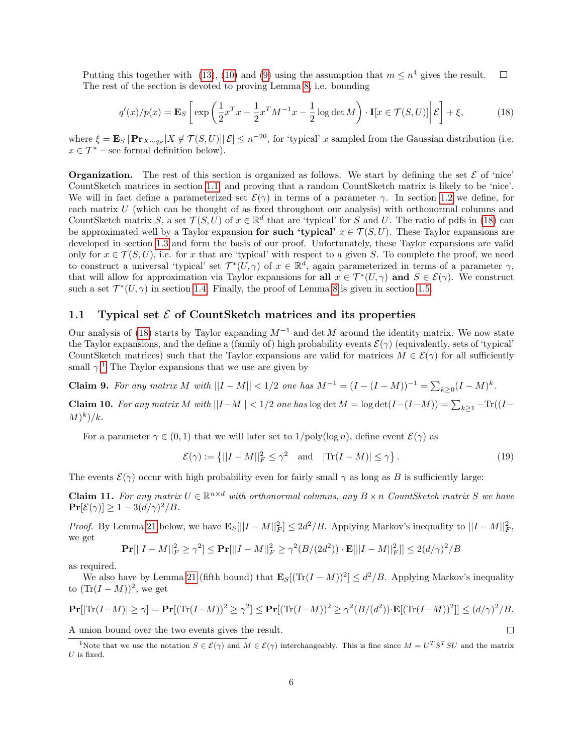Putting this together with [\(13\)](#page-4-4), [\(10\)](#page-3-1) and [\(9\)](#page-3-2) using the assumption that  $m \leq n^4$  gives the result.  $\Box$ The rest of the section is devoted to proving Lemma [8,](#page-3-0) i.e. bounding

$$
q'(x)/p(x) = \mathbf{E}_S \left[ \exp\left(\frac{1}{2}x^T x - \frac{1}{2}x^T M^{-1} x - \frac{1}{2}\log \det M\right) \cdot \mathbf{I}[x \in \mathcal{T}(S, U)] \middle| \mathcal{E} \right] + \xi,
$$
 (18)

<span id="page-5-3"></span>where  $\xi = \mathbf{E}_S [\mathbf{Pr}_{X \sim q_S}[X \notin \mathcal{T}(S, U)] | \mathcal{E}] \leq n^{-20}$ , for 'typical' x sampled from the Gaussian distribution (i.e.  $x \in \mathcal{T}^*$  – see formal definition below).

**Organization.** The rest of this section is organized as follows. We start by defining the set  $\mathcal{E}$  of 'nice' CountSketch matrices in section [1.1,](#page-5-2) and proving that a random CountSketch matrix is likely to be 'nice'. We will in fact define a parameterized set  $\mathcal{E}(\gamma)$  in terms of a parameter  $\gamma$ . In section [1.2](#page-6-2) we define, for each matrix U (which can be thought of as fixed throughout our analysis) with orthonormal columns and CountSketch matrix S, a set  $\mathcal{T}(S, U)$  of  $x \in \mathbb{R}^d$  that are 'typical' for S and U. The ratio of pdfs in [\(18\)](#page-5-3) can be approximated well by a Taylor expansion for such 'typical'  $x \in \mathcal{T}(S, U)$ . These Taylor expansions are developed in section [1.3](#page-6-3) and form the basis of our proof. Unfortunately, these Taylor expansions are valid only for  $x \in \mathcal{T}(S, U)$ , i.e. for x that are 'typical' with respect to a given S. To complete the proof, we need to construct a universal 'typical' set  $\mathcal{T}^*(U,\gamma)$  of  $x \in \mathbb{R}^d$ , again parameterized in terms of a parameter  $\gamma$ , that will allow for approximation via Taylor expansions for all  $x \in \mathcal{T}^*(U, \gamma)$  and  $S \in \mathcal{E}(\gamma)$ . We construct such a set  $\mathcal{T}^*(U, \gamma)$  in section [1.4.](#page-7-1) Finally, the proof of Lemma [8](#page-3-0) is given in section [1.5.](#page-9-0)

### <span id="page-5-2"></span>1.1 Typical set  $\mathcal E$  of CountSketch matrices and its properties

Our analysis of [\(18\)](#page-5-3) starts by Taylor expanding  $M^{-1}$  and det M around the identity matrix. We now state the Taylor expansions, and the define a (family of) high probability events  $\mathcal{E}(\gamma)$  (equivalently, sets of 'typical' CountSketch matrices) such that the Taylor expansions are valid for matrices  $M \in \mathcal{E}(\gamma)$  for all sufficiently small  $\gamma$ <sup>[1](#page-5-4)</sup>. The Taylor expansions that we use are given by

<span id="page-5-0"></span>Claim 9. For any matrix M with  $||I - M|| < 1/2$  one has  $M^{-1} = (I - (I - M))^{-1} = \sum_{k \geq 0} (I - M)^k$ .

<span id="page-5-1"></span>Claim 10. For any matrix M with  $||I-M|| < 1/2$  one has log det  $M = \log \det(I - (I-M)) = \sum_{k \geq 1} -\text{Tr}((I-M))$  $(M)<sup>k</sup>$ /k.

For a parameter  $\gamma \in (0, 1)$  that we will later set to  $1/\text{poly}(\log n)$ , define event  $\mathcal{E}(\gamma)$  as

$$
\mathcal{E}(\gamma) := \left\{ ||I - M||_F^2 \le \gamma^2 \quad \text{and} \quad |\text{Tr}(I - M)| \le \gamma \right\}.
$$
 (19)

The events  $\mathcal{E}(\gamma)$  occur with high probability even for fairly small  $\gamma$  as long as B is sufficiently large:

<span id="page-5-5"></span>**Claim 11.** For any matrix  $U \in \mathbb{R}^{n \times d}$  with orthonormal columns, any  $B \times n$  CountSketch matrix S we have  $\Pr[\mathcal{E}(\gamma)] \geq 1 - 3(d/\gamma)^2/B$ .

*Proof.* By Lemma [21](#page-10-0) below, we have  $\mathbf{E}_{S}[\|I-M\|_{F}^{2}] \leq 2d^{2}/B$ . Applying Markov's inequality to  $\|I-M\|_{F}^{2}$ , we get

$$
\mathbf{Pr}[||I - M||_F^2 \ge \gamma^2] \le \mathbf{Pr}[||I - M||_F^2 \ge \gamma^2(B/(2d^2)) \cdot \mathbf{E}[||I - M||_F^2]] \le 2(d/\gamma)^2/B
$$

as required.

We also have by Lemma [21](#page-10-0) (fifth bound) that  $\mathbf{E}_{S}[(\text{Tr}(I-M))^{2}] \leq d^{2}/B$ . Applying Markov's inequality to  $(Tr(I - M))^2$ , we get

$$
\mathbf{Pr}[|\text{Tr}(I-M)| \ge \gamma] = \mathbf{Pr}[(\text{Tr}(I-M))^2 \ge \gamma^2] \le \mathbf{Pr}[(\text{Tr}(I-M))^2 \ge \gamma^2(B/(d^2)) \cdot \mathbf{E}[(\text{Tr}(I-M))^2]] \le (d/\gamma)^2/B.
$$
  
A union bound over the two events gives the result.

A union bound over the two events gives the result.

<span id="page-5-4"></span><sup>&</sup>lt;sup>1</sup>Note that we use the notation  $S \in \mathcal{E}(\gamma)$  and  $M \in \mathcal{E}(\gamma)$  interchangeably. This is fine since  $M = U^T S^T S U$  and the matrix  $U$  is fixed.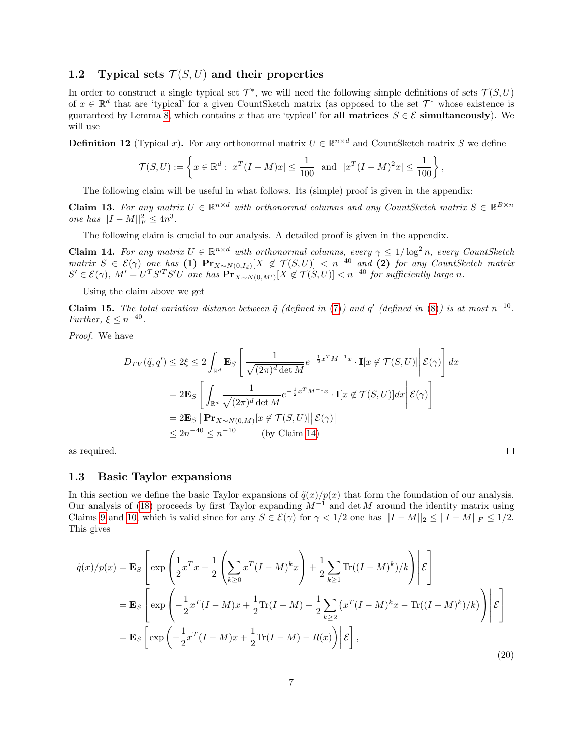#### <span id="page-6-2"></span>1.2 Typical sets  $\mathcal{T}(S, U)$  and their properties

In order to construct a single typical set  $\mathcal{T}^*$ , we will need the following simple definitions of sets  $\mathcal{T}(S, U)$ of  $x \in \mathbb{R}^d$  that are 'typical' for a given CountSketch matrix (as opposed to the set  $\mathcal{T}^*$  whose existence is guaranteed by Lemma [8,](#page-3-0) which contains x that are 'typical' for all matrices  $S \in \mathcal{E}$  simultaneously). We will use

<span id="page-6-0"></span>**Definition 12** (Typical x). For any orthonormal matrix  $U \in \mathbb{R}^{n \times d}$  and CountSketch matrix S we define

$$
\mathcal{T}(S, U) := \left\{ x \in \mathbb{R}^d : |x^T (I - M)x| \le \frac{1}{100} \text{ and } |x^T (I - M)^2 x| \le \frac{1}{100} \right\},\
$$

The following claim will be useful in what follows. Its (simple) proof is given in the appendix:

<span id="page-6-5"></span>**Claim 13.** For any matrix  $U \in \mathbb{R}^{n \times d}$  with orthonormal columns and any CountSketch matrix  $S \in \mathbb{R}^{B \times n}$ *one has*  $||I - M||_F^2 \le 4n^3$ .

The following claim is crucial to our analysis. A detailed proof is given in the appendix.

<span id="page-6-4"></span>**Claim 14.** For any matrix  $U \in \mathbb{R}^{n \times d}$  with orthonormal columns, every  $\gamma \leq 1/\log^2 n$ , every CountSketch  $\textit{matrix}\ S \in \mathcal{E}(\gamma)$  one has (1)  $\Pr_{X \sim N(0,I_d)}[X \notin \mathcal{T}(S,U)] < n^{-40}$  and (2) for any CountSketch matrix  $S' \in \mathcal{E}(\gamma)$ ,  $M' = U^T S'^T S' U$  one has  $\mathbf{Pr}_{X \sim N(0,M')}[X \notin \mathcal{T}(S,U)] < n^{-40}$  for sufficiently large n.

Using the claim above we get

<span id="page-6-1"></span>**Claim 15.** The total variation distance between  $\tilde{q}$  (defined in [\(7\)](#page-2-0)) and q' (defined in [\(8\)](#page-2-1)) is at most  $n^{-10}$ . Further,  $\xi \leq n^{-40}$ .

Proof. We have

$$
D_{TV}(\tilde{q}, q') \le 2\xi \le 2 \int_{\mathbb{R}^d} \mathbf{E}_S \left[ \frac{1}{\sqrt{(2\pi)^d \det M}} e^{-\frac{1}{2}x^T M^{-1} x} \cdot \mathbf{I}[x \notin \mathcal{T}(S, U)] \middle| \mathcal{E}(\gamma) \right] dx
$$
  
=  $2\mathbf{E}_S \left[ \int_{\mathbb{R}^d} \frac{1}{\sqrt{(2\pi)^d \det M}} e^{-\frac{1}{2}x^T M^{-1} x} \cdot \mathbf{I}[x \notin \mathcal{T}(S, U)] dx \middle| \mathcal{E}(\gamma) \right]$   
=  $2\mathbf{E}_S \left[ \mathbf{Pr}_{X \sim N(0, M)} [x \notin \mathcal{T}(S, U)] \middle| \mathcal{E}(\gamma) \right]$   
 $\le 2n^{-40} \le n^{-10}$  (by Claim 14)

as required.

### <span id="page-6-3"></span>1.3 Basic Taylor expansions

In this section we define the basic Taylor expansions of  $\tilde{q}(x)/p(x)$  that form the foundation of our analysis. Our analysis of [\(18\)](#page-5-3) proceeds by first Taylor expanding  $M^{-1}$  and det M around the identity matrix using Claims [9](#page-5-0) and [10,](#page-5-1) which is valid since for any  $S \in \mathcal{E}(\gamma)$  for  $\gamma < 1/2$  one has  $||I - M||_2 \le ||I - M||_F \le 1/2$ . This gives

$$
\tilde{q}(x)/p(x) = \mathbf{E}_{S} \left[ \exp \left( \frac{1}{2} x^{T} x - \frac{1}{2} \left( \sum_{k \geq 0} x^{T} (I - M)^{k} x \right) + \frac{1}{2} \sum_{k \geq 1} \text{Tr}((I - M)^{k})/k \right) \middle| \mathcal{E} \right]
$$
  
\n
$$
= \mathbf{E}_{S} \left[ \exp \left( -\frac{1}{2} x^{T} (I - M) x + \frac{1}{2} \text{Tr}(I - M) - \frac{1}{2} \sum_{k \geq 2} (x^{T} (I - M)^{k} x - \text{Tr}((I - M)^{k})/k) \right) \middle| \mathcal{E} \right]
$$
  
\n
$$
= \mathbf{E}_{S} \left[ \exp \left( -\frac{1}{2} x^{T} (I - M) x + \frac{1}{2} \text{Tr}(I - M) - R(x) \right) \middle| \mathcal{E} \right],
$$
\n(20)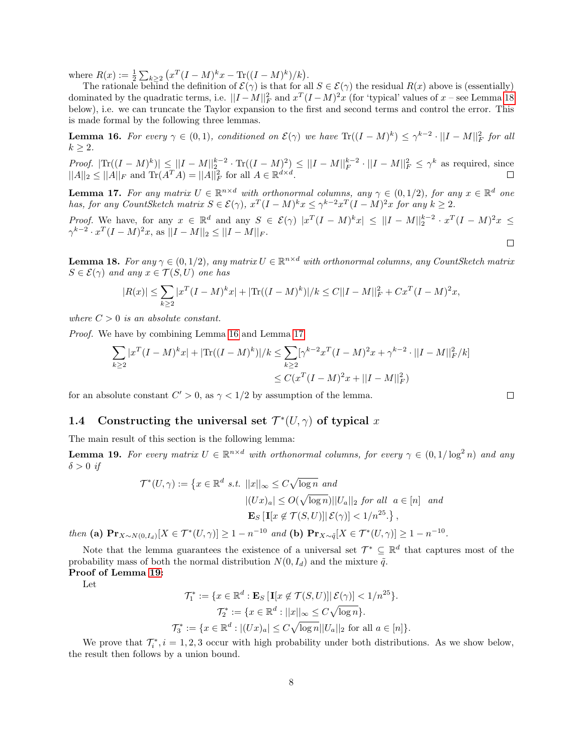where  $R(x) := \frac{1}{2} \sum_{k \geq 2} (x^T (I - M)^k x - \text{Tr}((I - M)^k)/k).$ 

The rationale behind the definition of  $\mathcal{E}(\gamma)$  is that for all  $S \in \mathcal{E}(\gamma)$  the residual  $R(x)$  above is (essentially) dominated by the quadratic terms, i.e.  $||I - M||_F^2$  and  $x^T (I - M)^2 x$  (for 'typical' values of  $x$  – see Lemma [18](#page-7-2) below), i.e. we can truncate the Taylor expansion to the first and second terms and control the error. This is made formal by the following three lemmas.

<span id="page-7-3"></span>**Lemma 16.** For every  $\gamma \in (0,1)$ , conditioned on  $\mathcal{E}(\gamma)$  we have  $\text{Tr}((I-M)^k) \leq \gamma^{k-2} \cdot ||I-M||_F^2$  for all  $k \geq 2$ .

Proof.  $|\text{Tr}((I-M)^k)| \leq ||I-M||_2^{k-2} \cdot \text{Tr}((I-M)^2) \leq ||I-M||_F^{k-2} \cdot ||I-M||_F^2 \leq \gamma^k$  as required, since  $||A||_2 \le ||A||_F$  and  $\text{Tr}(A^T A) = ||A||_F^2$  for all  $A \in \mathbb{R}^{d \times d}$ .

<span id="page-7-4"></span>**Lemma 17.** For any matrix  $U \in \mathbb{R}^{n \times d}$  with orthonormal columns, any  $\gamma \in (0, 1/2)$ , for any  $x \in \mathbb{R}^d$  one has, for any CountSketch matrix  $S \in \mathcal{E}(\gamma)$ ,  $x^T(I-M)^k x \leq \gamma^{k-2} x^T(I-M)^2 x$  for any  $k \geq 2$ .

Proof. We have, for any  $x \in \mathbb{R}^d$  and any  $S \in \mathcal{E}(\gamma)$   $|x^T(I-M)^k x| \leq ||I-M||_2^{k-2} \cdot x^T(I-M)^2 x \leq$  $\gamma^{k-2} \cdot x^T (I - M)^2 x$ , as  $||I - M||_2 \le ||I - M||_F$ .  $\Box$ 

<span id="page-7-2"></span>**Lemma 18.** For any  $\gamma \in (0, 1/2)$ , any matrix  $U \in \mathbb{R}^{n \times d}$  with orthonormal columns, any CountSketch matrix  $S \in \mathcal{E}(\gamma)$  and any  $x \in \mathcal{T}(S, U)$  one has

$$
|R(x)| \le \sum_{k\ge 2} |x^T (I - M)^k x| + |\text{Tr}((I - M)^k)|/k \le C||I - M||_F^2 + Cx^T(I - M)^2 x,
$$

where  $C > 0$  is an absolute constant.

Proof. We have by combining Lemma [16](#page-7-3) and Lemma [17](#page-7-4)

$$
\sum_{k\geq 2} |x^T (I - M)^k x| + |\text{Tr}((I - M)^k)|/k \leq \sum_{k\geq 2} [\gamma^{k-2} x^T (I - M)^2 x + \gamma^{k-2} \cdot ||I - M||_F^2 / k]
$$
  

$$
\leq C(x^T (I - M)^2 x + ||I - M||_F^2)
$$

for an absolute constant  $C' > 0$ , as  $\gamma < 1/2$  by assumption of the lemma.

## <span id="page-7-1"></span>1.4 Constructing the universal set  $\mathcal{T}^*(U, \gamma)$  of typical x

The main result of this section is the following lemma:

<span id="page-7-0"></span>**Lemma 19.** For every matrix  $U \in \mathbb{R}^{n \times d}$  with orthonormal columns, for every  $\gamma \in (0, 1/\log^2 n)$  and any  $\delta > 0$  if

$$
\mathcal{T}^*(U,\gamma) := \left\{ x \in \mathbb{R}^d \text{ s.t. } ||x||_{\infty} \le C\sqrt{\log n} \text{ and } \right\}
$$

$$
|(Ux)_a| \le O(\sqrt{\log n})||U_a||_2 \text{ for all } a \in [n] \text{ and}
$$

$$
\mathbf{E}_S [\mathbf{I}[x \notin \mathcal{T}(S,U)] | \mathcal{E}(\gamma)] < 1/n^{25}.\right\},
$$

then (a)  $\mathbf{Pr}_{X \sim N(0, I_d)}[X \in \mathcal{T}^*(U, \gamma)] \ge 1 - n^{-10}$  and (b)  $\mathbf{Pr}_{X \sim \tilde{q}}[X \in \mathcal{T}^*(U, \gamma)] \ge 1 - n^{-10}$ .

Note that the lemma guarantees the existence of a universal set  $\mathcal{T}^* \subseteq \mathbb{R}^d$  that captures most of the probability mass of both the normal distribution  $N(0, I_d)$  and the mixture  $\tilde{q}$ . Proof of Lemma [19:](#page-7-0)

Let

$$
\mathcal{T}_1^* := \{ x \in \mathbb{R}^d : \mathbf{E}_S \left[ \mathbf{I}[x \notin \mathcal{T}(S, U)] \middle| \mathcal{E}(\gamma) \right] < 1/n^{25} \}.
$$
\n
$$
\mathcal{T}_2^* := \{ x \in \mathbb{R}^d : ||x||_{\infty} \le C \sqrt{\log n} \}.
$$
\n
$$
\mathcal{T}_3^* := \{ x \in \mathbb{R}^d : |(Ux)_a| \le C \sqrt{\log n} ||U_a||_2 \text{ for all } a \in [n] \}.
$$

We prove that  $\mathcal{T}_{i}^{*}$ ,  $i = 1, 2, 3$  occur with high probability under both distributions. As we show below, the result then follows by a union bound.

 $\Box$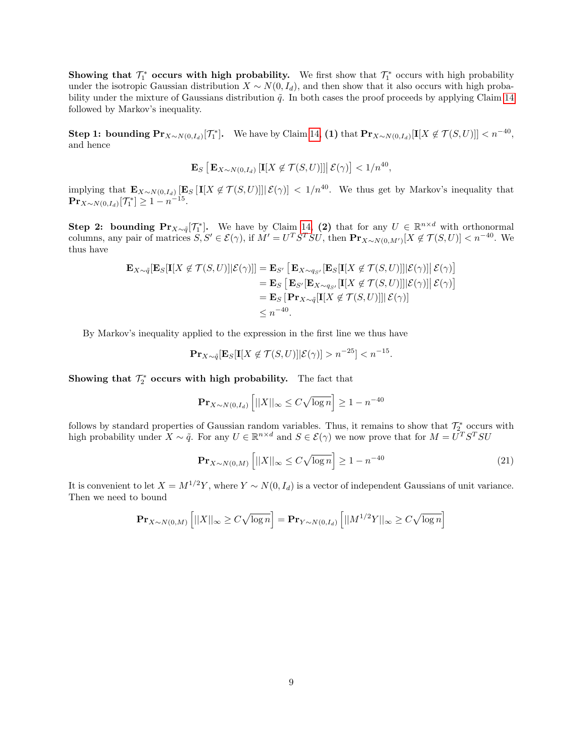Showing that  $\mathcal{T}_1^*$  occurs with high probability. We first show that  $\mathcal{T}_1^*$  occurs with high probability under the isotropic Gaussian distribution  $X \sim N(0, I_d)$ , and then show that it also occurs with high probability under the mixture of Gaussians distribution  $\tilde{q}$ . In both cases the proof proceeds by applying Claim [14](#page-6-4) followed by Markov's inequality.

**Step 1: bounding**  $\Pr_{X \sim N(0, I_d)}[\mathcal{T}_1^*]$ **.** We have by Claim [14,](#page-6-4) (1) that  $\Pr_{X \sim N(0, I_d)}[\mathbf{I}[X \notin \mathcal{T}(S, U)]] < n^{-40}$ , and hence

$$
\mathbf{E}_{S}\left[\mathbf{E}_{X\sim N(0,I_d)}\left[\mathbf{I}[X \notin \mathcal{T}(S,U)]\right] \middle| \mathcal{E}(\gamma)\right] < 1/n^{40},
$$

implying that  $\mathbf{E}_{X\sim N(0,I_d)}[\mathbf{E}_S[[X \notin \mathcal{T}(S,U)]]|\mathcal{E}(\gamma)] < 1/n^{40}$ . We thus get by Markov's inequality that  ${\bf Pr}_{X \sim N(0, I_d)}[{\mathcal T}_1^*] \ge 1 - n^{-15}.$ 

**Step 2: bounding**  $\Pr_{X \sim \tilde{q}}[\mathcal{T}_1^*]$ **.** We have by Claim [14,](#page-6-4) (2) that for any  $U \in \mathbb{R}^{n \times d}$  with orthonormal columns, any pair of matrices  $S, S' \in \mathcal{E}(\gamma)$ , if  $M' = U^T S^T S U$ , then  $\mathbf{Pr}_{X \sim N(0,M')}[X \notin \mathcal{T}(S, U)] < n^{-40}$ . We thus have

$$
\mathbf{E}_{X \sim \tilde{q}}[\mathbf{E}_{S}[\mathbf{I}[X \notin \mathcal{T}(S, U)] | \mathcal{E}(\gamma)]] = \mathbf{E}_{S'} [\mathbf{E}_{X \sim q_{S'}}[\mathbf{E}_{S}[\mathbf{I}[X \notin \mathcal{T}(S, U)]] | \mathcal{E}(\gamma)]] \mathcal{E}(\gamma)]
$$
  
\n
$$
= \mathbf{E}_{S} [\mathbf{E}_{S'}[\mathbf{E}_{X \sim q_{S'}}[\mathbf{I}[X \notin \mathcal{T}(S, U)]] | \mathcal{E}(\gamma)]] \mathcal{E}(\gamma)]
$$
  
\n
$$
= \mathbf{E}_{S} [\mathbf{Pr}_{X \sim \tilde{q}}[\mathbf{I}[X \notin \mathcal{T}(S, U)]] | \mathcal{E}(\gamma)]
$$
  
\n
$$
\leq n^{-40}.
$$

By Markov's inequality applied to the expression in the first line we thus have

$$
\mathbf{Pr}_{X \sim \tilde{q}}[\mathbf{E}_S[\mathbf{I}[X \notin \mathcal{T}(S, U)] | \mathcal{E}(\gamma)] > n^{-25}] < n^{-15}.
$$

Showing that  $\mathcal{T}_2^*$  occurs with high probability. The fact that

$$
\mathbf{Pr}_{X \sim N(0, I_d)} \left[ ||X||_{\infty} \le C \sqrt{\log n} \right] \ge 1 - n^{-40}
$$

follows by standard properties of Gaussian random variables. Thus, it remains to show that  $\mathcal{T}_{2}^{*}$  occurs with high probability under  $X \sim \tilde{q}$ . For any  $U \in \mathbb{R}^{n \times d}$  and  $S \in \mathcal{E}(\gamma)$  we now prove that for  $M = U^{T}S^{T}SU$ 

$$
\mathbf{Pr}_{X \sim N(0,M)} \left[ ||X||_{\infty} \le C\sqrt{\log n} \right] \ge 1 - n^{-40} \tag{21}
$$

<span id="page-8-0"></span>It is convenient to let  $X = M^{1/2}Y$ , where  $Y \sim N(0, I_d)$  is a vector of independent Gaussians of unit variance. Then we need to bound

$$
\mathbf{Pr}_{X \sim N(0,M)} \left[ ||X||_{\infty} \ge C\sqrt{\log n} \right] = \mathbf{Pr}_{Y \sim N(0,I_d)} \left[ ||M^{1/2}Y||_{\infty} \ge C\sqrt{\log n} \right]
$$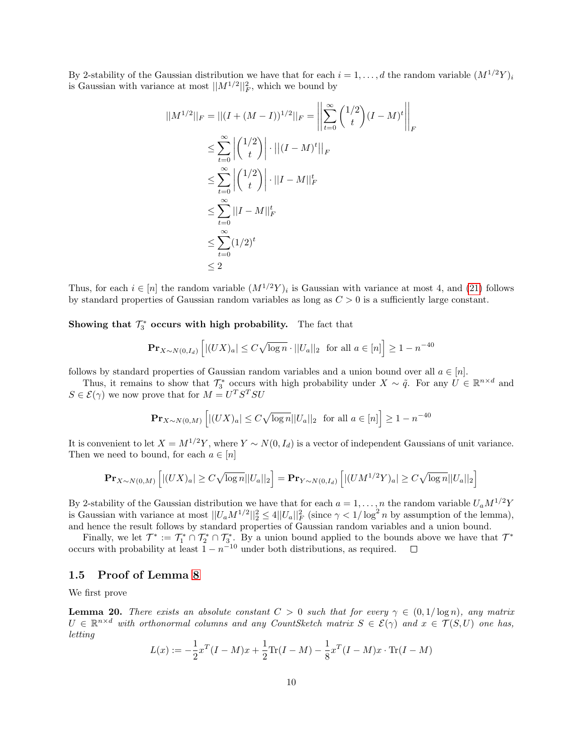By 2-stability of the Gaussian distribution we have that for each  $i = 1, \ldots, d$  the random variable  $(M^{1/2}Y)_i$ is Gaussian with variance at most  $||M^{1/2}||_F^2$ , which we bound by

$$
||M^{1/2}||_F = ||(I + (M - I))^{1/2}||_F = \left\| \sum_{t=0}^{\infty} {1/2 \choose t} (I - M)^t \right\|_F
$$
  
\n
$$
\leq \sum_{t=0}^{\infty} |{1/2 \choose t} \cdot ||(I - M)^t||_F
$$
  
\n
$$
\leq \sum_{t=0}^{\infty} |{1/2 \choose t} \cdot ||I - M||_F^t
$$
  
\n
$$
\leq \sum_{t=0}^{\infty} ||I - M||_F^t
$$
  
\n
$$
\leq \sum_{t=0}^{\infty} (1/2)^t
$$
  
\n
$$
\leq 2
$$

Thus, for each  $i \in [n]$  the random variable  $(M^{1/2}Y)_i$  is Gaussian with variance at most 4, and [\(21\)](#page-8-0) follows by standard properties of Gaussian random variables as long as  $C > 0$  is a sufficiently large constant.

Showing that  $\mathcal{T}_3^*$  occurs with high probability. The fact that

$$
\mathbf{Pr}_{X \sim N(0, I_d)} \left[ |(UX)_a| \le C\sqrt{\log n} \cdot ||U_a||_2 \text{ for all } a \in [n] \right] \ge 1 - n^{-40}
$$

follows by standard properties of Gaussian random variables and a union bound over all  $a \in [n]$ .

Thus, it remains to show that  $\mathcal{T}_3^*$  occurs with high probability under  $X \sim \tilde{q}$ . For any  $U \in \mathbb{R}^{n \times d}$  and  $S \in \mathcal{E}(\gamma)$  we now prove that for  $M = U^T S^T S U$ 

$$
\mathbf{Pr}_{X \sim N(0,M)} \left[ |(UX)_a| \le C\sqrt{\log n} ||U_a||_2 \text{ for all } a \in [n] \right] \ge 1 - n^{-40}
$$

It is convenient to let  $X = M^{1/2}Y$ , where  $Y \sim N(0, I_d)$  is a vector of independent Gaussians of unit variance. Then we need to bound, for each  $a \in [n]$ 

$$
\mathbf{Pr}_{X \sim N(0,M)} \left[ |(UX)_a| \ge C\sqrt{\log n} ||U_a||_2 \right] = \mathbf{Pr}_{Y \sim N(0,I_d)} \left[ |(UM^{1/2}Y)_a| \ge C\sqrt{\log n} ||U_a||_2 \right]
$$

By 2-stability of the Gaussian distribution we have that for each  $a = 1, \ldots, n$  the random variable  $U_a M^{1/2}Y$ is Gaussian with variance at most  $||U_a M^{1/2}||_2^2 \leq 4||U_a||_F^2$  (since  $\gamma < 1/\log^2 n$  by assumption of the lemma), and hence the result follows by standard properties of Gaussian random variables and a union bound.

Finally, we let  $\mathcal{T}^* := \mathcal{T}_1^* \cap \mathcal{T}_2^* \cap \mathcal{T}_3^*$ . By a union bound applied to the bounds above we have that  $\mathcal{T}^*$ occurs with probability at least  $1 - n^{-10}$  under both distributions, as required.

### <span id="page-9-0"></span>1.5 Proof of Lemma [8](#page-3-0)

We first prove

<span id="page-9-1"></span>**Lemma 20.** There exists an absolute constant  $C > 0$  such that for every  $\gamma \in (0, 1/\log n)$ , any matrix  $U \in \mathbb{R}^{n \times d}$  with orthonormal columns and any CountSketch matrix  $S \in \mathcal{E}(\gamma)$  and  $x \in \mathcal{T}(S, U)$  one has, letting

$$
L(x) := -\frac{1}{2}x^{T}(I - M)x + \frac{1}{2}\text{Tr}(I - M) - \frac{1}{8}x^{T}(I - M)x \cdot \text{Tr}(I - M)
$$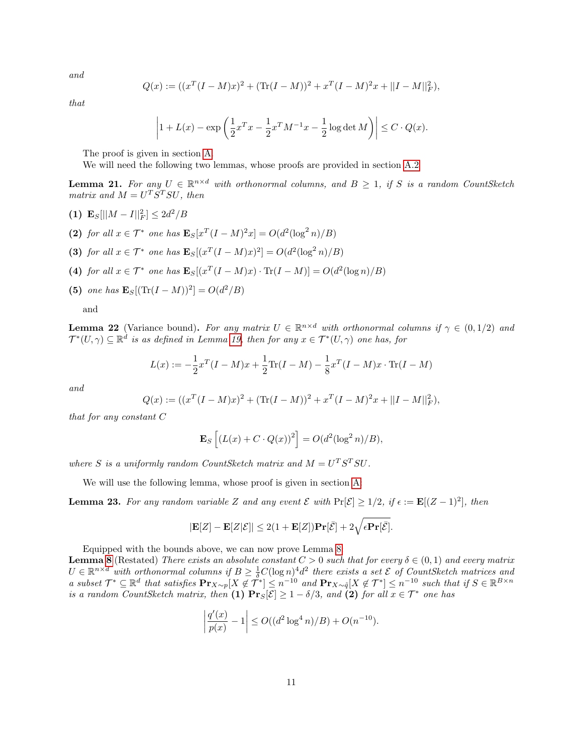and

$$
Q(x) := ((x^T(I - M)x)^2 + (\text{Tr}(I - M))^2 + x^T(I - M)^2x + ||I - M||_F^2),
$$

that

$$
\left| 1 + L(x) - \exp\left( \frac{1}{2} x^T x - \frac{1}{2} x^T M^{-1} x - \frac{1}{2} \log \det M \right) \right| \le C \cdot Q(x).
$$

The proof is given in section [A.](#page-12-0)

We will need the following two lemmas, whose proofs are provided in section [A.2](#page-17-0)

<span id="page-10-0"></span>**Lemma 21.** For any  $U \in \mathbb{R}^{n \times d}$  with orthonormal columns, and  $B \geq 1$ , if S is a random CountSketch matrix and  $M = U^T S^T S U$ , then

- (1)  $\mathbf{E}_S[||M-I||_F^2] \leq 2d^2/B$
- (2) for all  $x \in \mathcal{T}^*$  one has  $\mathbf{E}_S[x^T(I-M)^2x] = O(d^2(\log^2 n)/B)$
- (3) for all  $x \in \mathcal{T}^*$  one has  $\mathbf{E}_S[(x^T(I-M)x)^2] = O(d^2(\log^2 n)/B)$
- (4) for all  $x \in \mathcal{T}^*$  one has  $\mathbf{E}_S[(x^T(I-M)x) \cdot \text{Tr}(I-M)] = O(d^2(\log n)/B)$
- (5) one has  $\mathbf{E}_{S}[(\text{Tr}(I-M))^{2}] = O(d^{2}/B)$

and

<span id="page-10-1"></span>**Lemma 22** (Variance bound). For any matrix  $U \in \mathbb{R}^{n \times d}$  with orthonormal columns if  $\gamma \in (0,1/2)$  and  $\mathcal{T}^{*}(U,\gamma) \subseteq \mathbb{R}^{d}$  is as defined in Lemma [19,](#page-7-0) then for any  $x \in \mathcal{T}^{*}(U,\gamma)$  one has, for

$$
L(x) := -\frac{1}{2}x^{T}(I - M)x + \frac{1}{2}\text{Tr}(I - M) - \frac{1}{8}x^{T}(I - M)x \cdot \text{Tr}(I - M)
$$

and

$$
Q(x) := ((x^T(I - M)x)^2 + (\text{Tr}(I - M))^2 + x^T(I - M)^2x + ||I - M||_F^2),
$$

that for any constant C

$$
\mathbf{E}_S\left[\left(L(x) + C \cdot Q(x)\right)^2\right] = O(d^2(\log^2 n)/B),
$$

where S is a uniformly random CountSketch matrix and  $M = U<sup>T</sup> S<sup>T</sup> SU$ .

We will use the following lemma, whose proof is given in section [A:](#page-12-0)

<span id="page-10-2"></span>**Lemma 23.** For any random variable Z and any event  $\mathcal E$  with  $Pr[\mathcal E] \geq 1/2$ , if  $\epsilon := \mathbf E[(Z-1)^2]$ , then

$$
|\mathbf{E}[Z] - \mathbf{E}[Z|\mathcal{E}]| \leq 2(1 + \mathbf{E}[Z])\mathbf{Pr}[\bar{\mathcal{E}}] + 2\sqrt{\epsilon \mathbf{Pr}[\bar{\mathcal{E}}]}.
$$

Equipped with the bounds above, we can now prove Lemma [8:](#page-3-0)

**Lemma [8](#page-3-0)** (Restated) There exists an absolute constant  $C > 0$  such that for every  $\delta \in (0,1)$  and every matrix  $U \in \mathbb{R}^{n \times d}$  with orthonormal columns if  $B \geq \frac{1}{\delta}C(\log n)^4 d^2$  there exists a set  $\mathcal E$  of CountSketch matrices and a subset  $\mathcal{T}^* \subseteq \mathbb{R}^d$  that satisfies  $\mathbf{Pr}_{X \sim p}[X \notin \mathcal{T}^*] \leq n^{-10}$  and  $\mathbf{Pr}_{X \sim \tilde{q}}[X \notin \mathcal{T}^*] \leq n^{-10}$  such that if  $S \in \mathbb{R}^{B \times n}$ is a random CountSketch matrix, then (1)  $\Pr_{S}[\mathcal{E}] \geq 1 - \delta/3$ , and (2) for all  $x \in \mathcal{T}^*$  one has

$$
\left| \frac{q'(x)}{p(x)} - 1 \right| \le O((d^2 \log^4 n)/B) + O(n^{-10}).
$$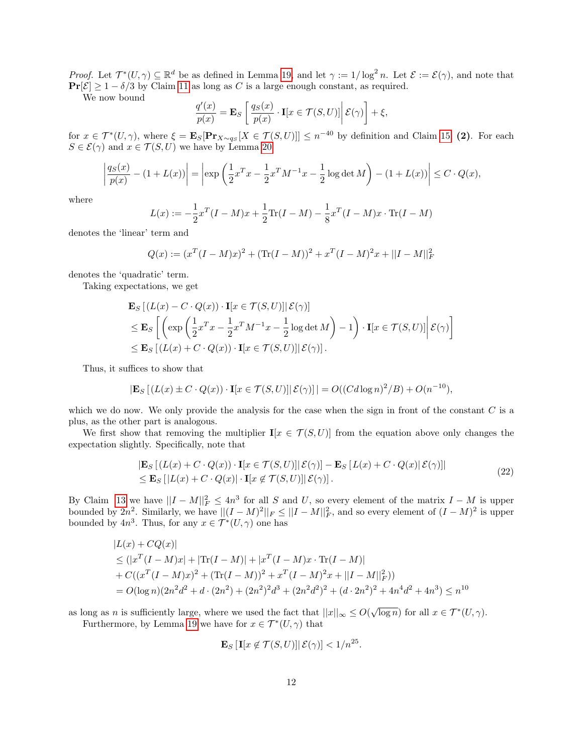*Proof.* Let  $\mathcal{T}^*(U,\gamma) \subseteq \mathbb{R}^d$  be as defined in Lemma [19,](#page-7-0) and let  $\gamma := 1/\log^2 n$ . Let  $\mathcal{E} := \mathcal{E}(\gamma)$ , and note that  $\Pr[\mathcal{E}] \ge 1 - \delta/3$  by Claim [11](#page-5-5) as long as C is a large enough constant, as required.

We now bound

$$
\frac{q'(x)}{p(x)} = \mathbf{E}_S \left[ \frac{q_S(x)}{p(x)} \cdot \mathbf{I}[x \in \mathcal{T}(S, U)] \middle| \mathcal{E}(\gamma) \right] + \xi,
$$

for  $x \in \mathcal{T}^*(U, \gamma)$ , where  $\xi = \mathbf{E}_S[\mathbf{Pr}_{X \sim q_S}[X \in \mathcal{T}(S, U)]] \leq n^{-40}$  by definition and Claim [15,](#page-6-1) (2). For each  $S \in \mathcal{E}(\gamma)$  and  $x \in \mathcal{T}(S, U)$  we have by Lemma [20](#page-9-1)

$$
\left| \frac{q_S(x)}{p(x)} - (1 + L(x)) \right| = \left| \exp \left( \frac{1}{2} x^T x - \frac{1}{2} x^T M^{-1} x - \frac{1}{2} \log \det M \right) - (1 + L(x)) \right| \le C \cdot Q(x),
$$

where

$$
L(x) := -\frac{1}{2}x^{T}(I - M)x + \frac{1}{2}\text{Tr}(I - M) - \frac{1}{8}x^{T}(I - M)x \cdot \text{Tr}(I - M)
$$

denotes the 'linear' term and

$$
Q(x) := (x^T(I - M)x)^2 + (\text{Tr}(I - M))^2 + x^T(I - M)^2x + ||I - M||_F^2
$$

denotes the 'quadratic' term.

Taking expectations, we get

$$
\mathbf{E}_{S} [(L(x) - C \cdot Q(x)) \cdot \mathbf{I}[x \in \mathcal{T}(S, U)] | \mathcal{E}(\gamma)]
$$
\n
$$
\leq \mathbf{E}_{S} \left[ \left( \exp \left( \frac{1}{2} x^{T} x - \frac{1}{2} x^{T} M^{-1} x - \frac{1}{2} \log \det M \right) - 1 \right) \cdot \mathbf{I}[x \in \mathcal{T}(S, U)] \middle| \mathcal{E}(\gamma) \right]
$$
\n
$$
\leq \mathbf{E}_{S} [(L(x) + C \cdot Q(x)) \cdot \mathbf{I}[x \in \mathcal{T}(S, U)] | \mathcal{E}(\gamma)].
$$

Thus, it suffices to show that

$$
|\mathbf{E}_S[(L(x) \pm C \cdot Q(x)) \cdot \mathbf{I}[x \in \mathcal{T}(S, U)] | \mathcal{E}(\gamma)]| = O((C d \log n)^2 / B) + O(n^{-10}),
$$

which we do now. We only provide the analysis for the case when the sign in front of the constant  $C$  is a plus, as the other part is analogous.

We first show that removing the multiplier  $\mathbf{I}[x \in \mathcal{T}(S, U)]$  from the equation above only changes the expectation slightly. Specifically, note that

$$
\begin{aligned} & \left| \mathbf{E}_{S} \left[ \left( L(x) + C \cdot Q(x) \right) \cdot \mathbf{I}[x \in \mathcal{T}(S, U)] \right| \mathcal{E}(\gamma) \right] - \mathbf{E}_{S} \left[ L(x) + C \cdot Q(x) \right| \mathcal{E}(\gamma) \right] \\ & \leq \mathbf{E}_{S} \left[ |L(x) + C \cdot Q(x)| \cdot \mathbf{I}[x \notin \mathcal{T}(S, U)] \right| \mathcal{E}(\gamma) \right]. \end{aligned} \tag{22}
$$

<span id="page-11-0"></span>By Claim [13](#page-6-5) we have  $||I - M||_F^2 \le 4n^3$  for all S and U, so every element of the matrix  $I - M$  is upper bounded by  $2n^2$ . Similarly, we have  $||(I - M)^2||_F \le ||I - M||_F^2$ , and so every element of  $(I - M)^2$  is upper bounded by  $4n^3$ . Thus, for any  $x \in \mathcal{T}^*(U, \gamma)$  one has

$$
|L(x) + CQ(x)|
$$
  
\n
$$
\leq (|x^T(I - M)x| + |\text{Tr}(I - M)| + |x^T(I - M)x \cdot \text{Tr}(I - M)|
$$
  
\n
$$
+ C((x^T(I - M)x)^2 + (\text{Tr}(I - M))^2 + x^T(I - M)^2x + ||I - M||_F^2))
$$
  
\n
$$
= O(\log n)(2n^2d^2 + d \cdot (2n^2) + (2n^2)^2d^3 + (2n^2d^2)^2 + (d \cdot 2n^2)^2 + 4n^4d^2 + 4n^3) \leq n^{10}
$$

as long as n is sufficiently large, where we used the fact that  $||x||_{\infty} \leq O(\sqrt{\log n})$  for all  $x \in \mathcal{T}^*(U, \gamma)$ .

Furthermore, by Lemma [19](#page-7-0) we have for  $x \in \mathcal{T}^*(U, \gamma)$  that

$$
\mathbf{E}_S\left[\mathbf{I}[x \notin \mathcal{T}(S, U)] \middle| \mathcal{E}(\gamma)\right] < 1/n^{25}.
$$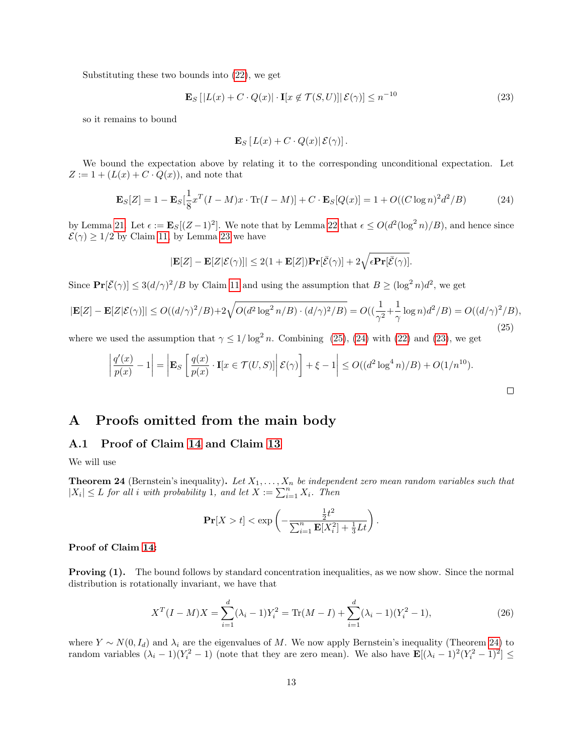<span id="page-12-3"></span>Substituting these two bounds into [\(22\)](#page-11-0), we get

$$
\mathbf{E}_S\left[|L(x) + C \cdot Q(x)| \cdot \mathbf{I}[x \notin \mathcal{T}(S, U)] \,|\, \mathcal{E}(\gamma) \right] \le n^{-10} \tag{23}
$$

so it remains to bound

$$
\mathbf{E}_S [L(x) + C \cdot Q(x) | \mathcal{E}(\gamma)].
$$

We bound the expectation above by relating it to the corresponding unconditional expectation. Let  $Z := 1 + (L(x) + C \cdot Q(x))$ , and note that

<span id="page-12-2"></span>
$$
\mathbf{E}_{S}[Z] = 1 - \mathbf{E}_{S}[\frac{1}{8}x^{T}(I - M)x \cdot \text{Tr}(I - M)] + C \cdot \mathbf{E}_{S}[Q(x)] = 1 + O((C \log n)^{2} d^{2}/B)
$$
(24)

by Lemma [21.](#page-10-0) Let  $\epsilon := \mathbf{E}_S[(Z-1)^2]$ . We note that by Lemma [22](#page-10-1) that  $\epsilon \le O(d^2(\log^2 n)/B)$ , and hence since  $\mathcal{E}(\gamma) \geq 1/2$  by Claim [11,](#page-5-5) by Lemma [23](#page-10-2) we have

$$
|\mathbf{E}[Z] - \mathbf{E}[Z|\mathcal{E}(\gamma)]| \le 2(1 + \mathbf{E}[Z])\mathbf{Pr}[\bar{\mathcal{E}}(\gamma)] + 2\sqrt{\epsilon \mathbf{Pr}[\bar{\mathcal{E}}(\gamma)]}.
$$

Since  $\mathbf{Pr}[\bar{\mathcal{E}}(\gamma)] \leq 3(d/\gamma)^2/B$  by Claim [11](#page-5-5) and using the assumption that  $B \geq (\log^2 n)d^2$ , we get

<span id="page-12-1"></span>
$$
|\mathbf{E}[Z] - \mathbf{E}[Z|\mathcal{E}(\gamma)]| \le O((d/\gamma)^2/B) + 2\sqrt{O(d^2 \log^2 n/B) \cdot (d/\gamma)^2/B)} = O((\frac{1}{\gamma^2} + \frac{1}{\gamma} \log n)d^2/B) = O((d/\gamma)^2/B),
$$
\n(25)

where we used the assumption that  $\gamma \leq 1/\log^2 n$ . Combining [\(25\)](#page-12-1), [\(24\)](#page-12-2) with [\(22\)](#page-11-0) and [\(23\)](#page-12-3), we get

$$
\frac{q'(x)}{p(x)} - 1\bigg| = \bigg| \mathbf{E}_S \left[ \frac{q(x)}{p(x)} \cdot \mathbf{I}[x \in \mathcal{T}(U, S)] \bigg| \mathcal{E}(\gamma) \right] + \xi - 1\bigg| \le O((d^2 \log^4 n)/B) + O(1/n^{10}).
$$

 $\Box$ 

# <span id="page-12-0"></span>A Proofs omitted from the main body

#### A.1 Proof of Claim [14](#page-6-4) and Claim [13](#page-6-5)

We will use

<span id="page-12-4"></span>**Theorem 24** (Bernstein's inequality). Let  $X_1, \ldots, X_n$  be independent zero mean random variables such that  $|X_i| \leq L$  for all i with probability 1, and let  $X := \sum_{i=1}^n X_i$ . Then

$$
\mathbf{Pr}[X > t] < \exp\left(-\frac{\frac{1}{2}t^2}{\sum_{i=1}^n \mathbf{E}[X_i^2] + \frac{1}{3}Lt}\right).
$$

#### Proof of Claim [14:](#page-6-4)

 $\overline{\phantom{a}}$ I  $\overline{\phantom{a}}$  $\mid$ 

**Proving (1).** The bound follows by standard concentration inequalities, as we now show. Since the normal distribution is rotationally invariant, we have that

<span id="page-12-5"></span>
$$
X^{T}(I-M)X = \sum_{i=1}^{d} (\lambda_i - 1)Y_i^2 = \text{Tr}(M-I) + \sum_{i=1}^{d} (\lambda_i - 1)(Y_i^2 - 1),
$$
\n(26)

where  $Y \sim N(0, I_d)$  and  $\lambda_i$  are the eigenvalues of M. We now apply Bernstein's inequality (Theorem [24\)](#page-12-4) to random variables  $(\lambda_i - 1)(Y_i^2 - 1)$  (note that they are zero mean). We also have  $\mathbf{E}[(\lambda_i - 1)^2(Y_i^2 - 1)^2] \leq$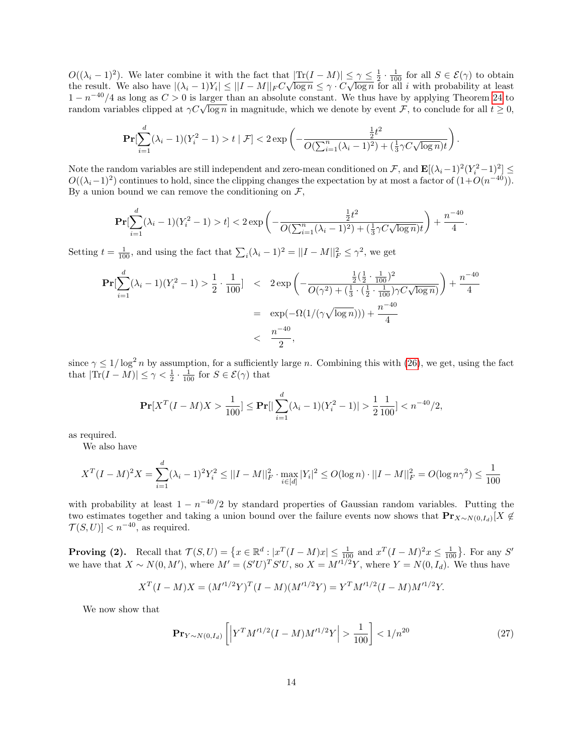$O((\lambda_i-1)^2)$ . We later combine it with the fact that  $|\text{Tr}(I-M)| \leq \gamma \leq \frac{1}{2} \cdot \frac{1}{100}$  for all  $S \in \mathcal{E}(\gamma)$  to obtain  $U((\lambda_i - 1))$ . We later combine it with the fact that  $|\text{Tr}(I - M)| \geq \gamma \leq \frac{1}{2} \cdot \frac{1}{100}$  for all  $s \in C(\gamma)$  to obtain the result. We also have  $|(\lambda_i - 1)Y_i| \leq ||I - M||_F C \sqrt{\log n} \leq \gamma \cdot C \sqrt{\log n}$  for all i with probability at lea  $1 - n^{-40}/4$  as long as  $C > 0$  is larger than an absolute constant. We thus have by applying Theorem [24](#page-12-4) to  $r_1 = n$   $\rightarrow$  4 as long as  $C > 0$  is larger than an absolute constant. We thus have by applying Theorem 24 to random variables clipped at  $\gamma C \sqrt{\log n}$  in magnitude, which we denote by event F, to conclude for all  $t \ge 0$ ,

$$
\Pr[\sum_{i=1}^d (\lambda_i - 1)(Y_i^2 - 1) > t \mid \mathcal{F}] < 2 \exp\left(-\frac{\frac{1}{2}t^2}{O(\sum_{i=1}^n (\lambda_i - 1)^2) + (\frac{1}{3}\gamma C \sqrt{\log n})t}\right).
$$

Note the random variables are still independent and zero-mean conditioned on  $\mathcal{F}$ , and  $\mathbf{E}[(\lambda_i-1)^2(Y_i^2-1)^2] \leq$  $O((\lambda_i-1)^2)$  continues to hold, since the clipping changes the expectation by at most a factor of  $(1+O(n^{-40}))$ . By a union bound we can remove the conditioning on  $\mathcal{F}$ ,

$$
\mathbf{Pr}[\sum_{i=1}^{d} (\lambda_i - 1)(Y_i^2 - 1) > t] < 2 \exp\left(-\frac{\frac{1}{2}t^2}{O(\sum_{i=1}^n (\lambda_i - 1)^2) + (\frac{1}{3}\gamma C \sqrt{\log n})t}\right) + \frac{n^{-40}}{4}.
$$

Setting  $t = \frac{1}{100}$ , and using the fact that  $\sum_i (\lambda_i - 1)^2 = ||I - M||_F^2 \le \gamma^2$ , we get

$$
\begin{aligned} \Pr[\sum_{i=1}^{d} (\lambda_i - 1)(Y_i^2 - 1) > \frac{1}{2} \cdot \frac{1}{100}] < 2 \exp\left(-\frac{\frac{1}{2}(\frac{1}{2} \cdot \frac{1}{100})^2}{O(\gamma^2) + (\frac{1}{3} \cdot (\frac{1}{2} \cdot \frac{1}{100})\gamma C \sqrt{\log n})}\right) + \frac{n^{-40}}{4} \\ &= \exp(-\Omega(1/(\gamma \sqrt{\log n}))) + \frac{n^{-40}}{4} \\ < \frac{n^{-40}}{2}, \end{aligned}
$$

since  $\gamma \leq 1/\log^2 n$  by assumption, for a sufficiently large n. Combining this with [\(26\)](#page-12-5), we get, using the fact that  $|\text{Tr}(I - M)| \le \gamma < \frac{1}{2} \cdot \frac{1}{100}$  for  $S \in \mathcal{E}(\gamma)$  that

$$
\mathbf{Pr}[X^T(I-M)X > \frac{1}{100}] \le \mathbf{Pr}[|\sum_{i=1}^d (\lambda_i - 1)(Y_i^2 - 1)| > \frac{1}{2}\frac{1}{100}] < n^{-40}/2,
$$

as required.

We also have

$$
X^{T}(I-M)^{2}X = \sum_{i=1}^{d} (\lambda_{i}-1)^{2}Y_{i}^{2} \le ||I-M||_{F}^{2} \cdot \max_{i \in [d]} |Y_{i}|^{2} \le O(\log n) \cdot ||I-M||_{F}^{2} = O(\log n \gamma^{2}) \le \frac{1}{100}
$$

with probability at least  $1 - n^{-40}/2$  by standard properties of Gaussian random variables. Putting the two estimates together and taking a union bound over the failure events now shows that  $Pr_{X\sim N(0,I_d)}[X \notin$  $\mathcal{T}(S, U) < n^{-40}$ , as required.

**Proving (2).** Recall that  $\mathcal{T}(S, U) = \{x \in \mathbb{R}^d : |x^T(I - M)x| \le \frac{1}{100} \text{ and } x^T(I - M)^2 x \le \frac{1}{100}\}$ . For any S' we have that  $X \sim N(0, M')$ , where  $M' = (S'U)^T S'U$ , so  $X = M'^{1/2}Y$ , where  $Y = N(0, I_d)$ . We thus have

$$
X^{T}(I - M)X = (M'^{1/2}Y)^{T}(I - M)(M'^{1/2}Y) = Y^{T}M'^{1/2}(I - M)M'^{1/2}Y.
$$

We now show that

$$
\mathbf{Pr}_{Y \sim N(0, I_d)} \left[ \left| Y^T M'^{1/2} (I - M) M'^{1/2} Y \right| > \frac{1}{100} \right] < 1/n^{20} \tag{27}
$$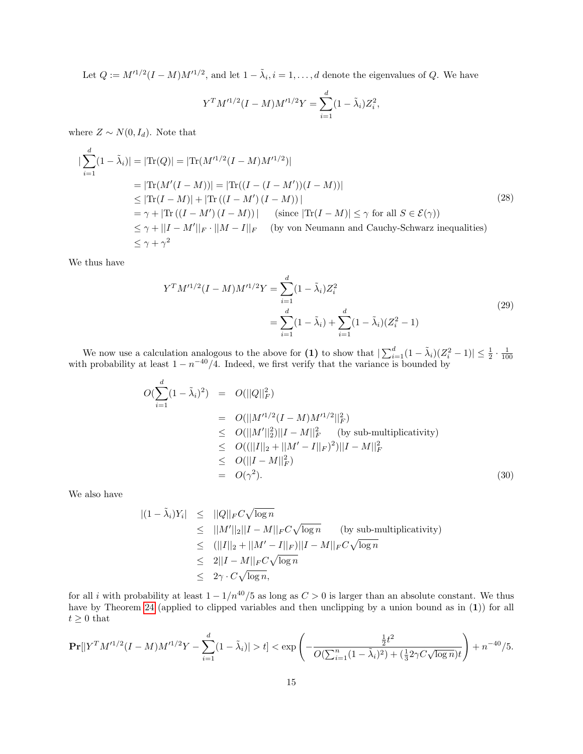Let  $Q := M'^{1/2}(I - M)M'^{1/2}$ , and let  $1 - \tilde{\lambda}_i$ ,  $i = 1, ..., d$  denote the eigenvalues of Q. We have

$$
Y^{T}M'^{1/2}(I - M)M'^{1/2}Y = \sum_{i=1}^{d} (1 - \tilde{\lambda}_{i})Z_{i}^{2},
$$

where  $Z \sim N(0, I_d)$ . Note that

<span id="page-14-1"></span>
$$
\begin{split}\n|\sum_{i=1}^{d} (1 - \tilde{\lambda}_{i})| &= |\text{Tr}(Q)| = |\text{Tr}(M'^{1/2}(I - M)M'^{1/2})| \\
&= |\text{Tr}(M'(I - M))| = |\text{Tr}((I - (I - M'))(I - M))| \\
&\leq |\text{Tr}(I - M)| + |\text{Tr}((I - M')(I - M))| \\
&= \gamma + |\text{Tr}((I - M')(I - M))| \quad \text{(since } |\text{Tr}(I - M)| \leq \gamma \text{ for all } S \in \mathcal{E}(\gamma)) \\
&\leq \gamma + ||I - M'||_F \cdot ||M - I||_F \quad \text{(by von Neumann and Cauchy-Schwarz inequalities)} \\
&\leq \gamma + \gamma^2\n\end{split}
$$
\n(28)

We thus have

$$
Y^{T}M'^{1/2}(I - M)M'^{1/2}Y = \sum_{i=1}^{d} (1 - \tilde{\lambda}_{i})Z_{i}^{2}
$$
  
= 
$$
\sum_{i=1}^{d} (1 - \tilde{\lambda}_{i}) + \sum_{i=1}^{d} (1 - \tilde{\lambda}_{i})(Z_{i}^{2} - 1)
$$
 (29)

We now use a calculation analogous to the above for (1) to show that  $|\sum_{i=1}^d (1 - \tilde{\lambda}_i)(Z_i^2 - 1)| \leq \frac{1}{2} \cdot \frac{1}{100}$  with probability at least  $1 - n^{-40}/4$ . Indeed, we first verify that the variance is bounded by

<span id="page-14-0"></span>
$$
O(\sum_{i=1}^{d} (1 - \tilde{\lambda}_{i})^{2}) = O(||Q||_{F}^{2})
$$
  
\n
$$
= O(||M^{\prime 1/2}(I - M)M^{\prime 1/2}||_{F}^{2})
$$
  
\n
$$
\leq O(||M^{\prime}||_{2}^{2})||I - M||_{F}^{2} \text{ (by sub-multiplicativity)}
$$
  
\n
$$
\leq O(||I||_{2} + ||M^{\prime} - I||_{F})^{2})||I - M||_{F}^{2}
$$
  
\n
$$
\leq O(||I - M||_{F}^{2})
$$
  
\n
$$
= O(\gamma^{2}). \qquad (30)
$$

We also have

$$
|(1 - \tilde{\lambda}_i)Y_i| \leq ||Q||_F C \sqrt{\log n}
$$
  
\n
$$
\leq ||M'||_2||I - M||_F C \sqrt{\log n}
$$
 (by sub-multiplicativity)  
\n
$$
\leq (||I||_2 + ||M' - I||_F)||I - M||_F C \sqrt{\log n}
$$
  
\n
$$
\leq 2||I - M||_F C \sqrt{\log n}
$$
  
\n
$$
\leq 2\gamma \cdot C \sqrt{\log n},
$$

for all i with probability at least  $1 - 1/n^{40}/5$  as long as  $C > 0$  is larger than an absolute constant. We thus have by Theorem [24](#page-12-4) (applied to clipped variables and then unclipping by a union bound as in (1)) for all  $t\geq 0$  that

$$
\Pr[|Y^T M'^{1/2} (I - M) M'^{1/2} Y - \sum_{i=1}^d (1 - \tilde{\lambda}_i)| > t] < \exp\left(-\frac{\frac{1}{2}t^2}{O(\sum_{i=1}^n (1 - \tilde{\lambda}_i)^2) + (\frac{1}{3}2\gamma C \sqrt{\log n})t}\right) + n^{-40}/5.
$$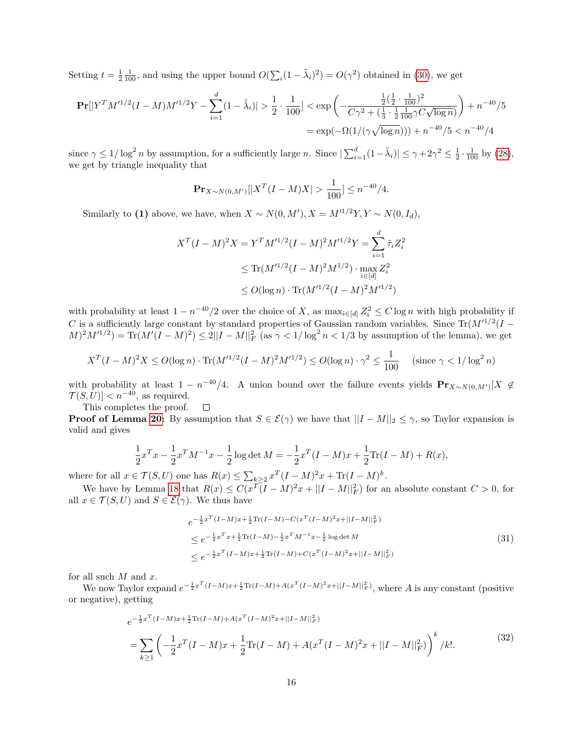Setting  $t = \frac{1}{2} \frac{1}{100}$ , and using the upper bound  $O(\sum_i (1 - \tilde{\lambda}_i)^2) = O(\gamma^2)$  obtained in [\(30\)](#page-14-0), we get

$$
\mathbf{Pr}[|Y^T M'^{1/2}(I - M)M'^{1/2}Y - \sum_{i=1}^d (1 - \tilde{\lambda}_i)| > \frac{1}{2} \cdot \frac{1}{100}| < \exp\left(-\frac{\frac{1}{2}(\frac{1}{2} \cdot \frac{1}{100})^2}{C\gamma^2 + (\frac{1}{3} \cdot \frac{1}{2} \frac{1}{100} \gamma C \sqrt{\log n})}\right) + n^{-40}/5
$$
  
= 
$$
\exp(-\Omega(1/(\gamma \sqrt{\log n}))) + n^{-40}/5 < n^{-40}/4
$$

since  $\gamma \leq 1/\log^2 n$  by assumption, for a sufficiently large n. Since  $|\sum_{i=1}^d (1-\tilde{\lambda}_i)| \leq \gamma + 2\gamma^2 \leq \frac{1}{2} \cdot \frac{1}{100}$  by [\(28\)](#page-14-1), we get by triangle inequality that

$$
\mathbf{Pr}_{X \sim N(0, M')}[|X^T(I - M)X| > \frac{1}{100}] \le n^{-40}/4.
$$

Similarly to (1) above, we have, when  $X \sim N(0, M')$ ,  $X = M'^{1/2}Y$ ,  $Y \sim N(0, I_d)$ ,

$$
X^{T}(I - M)^{2}X = Y^{T}M'^{1/2}(I - M)^{2}M'^{1/2}Y = \sum_{i=1}^{d} \tilde{\tau}_{i}Z_{i}^{2}
$$

$$
\leq \text{Tr}(M'^{1/2}(I - M)^{2}M^{1/2}) \cdot \max_{i \in [d]} Z_{i}^{2}
$$

$$
\leq O(\log n) \cdot \text{Tr}(M'^{1/2}(I - M)^{2}M'^{1/2})
$$

with probability at least  $1 - n^{-40}/2$  over the choice of X, as  $\max_{i \in [d]} Z_i^2 \le C \log n$  with high probability if C is a sufficiently large constant by standard properties of Gaussian random variables. Since  $\text{Tr}(M'^{1/2}(I (M)^2 M^{1/2}$  = Tr( $M'(I-M)^2$ )  $\leq 2||I-M||_F^2$  (as  $\gamma < 1/\log^2 n < 1/3$  by assumption of the lemma), we get

$$
X^{T}(I-M)^{2}X \le O(\log n) \cdot \text{Tr}(M'^{1/2}(I-M)^{2}M'^{1/2}) \le O(\log n) \cdot \gamma^{2} \le \frac{1}{100} \quad (\text{since } \gamma < 1/\log^{2} n)
$$

with probability at least  $1 - n^{-40}/4$ . A union bound over the failure events yields  $Pr_{X \sim N(0,M')}[X \notin$  $\mathcal{T}(S, U) < n^{-40}$ , as required.

This completes the proof.  $\Box$ 

**Proof of Lemma [20:](#page-9-1)** By assumption that  $S \in \mathcal{E}(\gamma)$  we have that  $||I - M||_2 \leq \gamma$ , so Taylor expansion is valid and gives

$$
\frac{1}{2}x^T x - \frac{1}{2}x^T M^{-1} x - \frac{1}{2} \log \det M = -\frac{1}{2}x^T (I - M)x + \frac{1}{2} \text{Tr}(I - M) + R(x),
$$

where for all  $x \in \mathcal{T}(S, U)$  one has  $R(x) \leq \sum_{k \geq 2} x^T (I - M)^2 x + \text{Tr}(I - M)^k$ .

We have by Lemma [18](#page-7-2) that  $R(x) \leq C(x^T(I-M)^2x + ||I-M||_F^2)$  for an absolute constant  $C > 0$ , for all  $x \in \mathcal{T}(S, U)$  and  $S \in \mathcal{E}(\gamma)$ . We thus have

$$
e^{-\frac{1}{2}x^{T}(I-M)x+\frac{1}{2}\text{Tr}(I-M)-C(x^{T}(I-M)^{2}x+||I-M||_{F}^{2})}
$$
  
\n
$$
\leq e^{-\frac{1}{2}x^{T}x+\frac{1}{2}\text{Tr}(I-M)-\frac{1}{2}x^{T}M^{-1}x-\frac{1}{2}\log\det M}
$$
  
\n
$$
\leq e^{-\frac{1}{2}x^{T}(I-M)x+\frac{1}{2}\text{Tr}(I-M)+C(x^{T}(I-M)^{2}x+||I-M||_{F}^{2})}
$$
\n(31)

for all such  $M$  and  $x$ .

<span id="page-15-0"></span>We now Taylor expand  $e^{-\frac{1}{2}x^T(I-M)x+\frac{1}{2}\text{Tr}(I-M)+A(x^T(I-M)^2x+||I-M||_F^2)}$ , where A is any constant (positive or negative), getting

$$
e^{-\frac{1}{2}x^{T}(I-M)x+\frac{1}{2}\text{Tr}(I-M)+A(x^{T}(I-M)^{2}x+||I-M||_{F}^{2})}
$$
\n
$$
=\sum_{k\geq 1}\left(-\frac{1}{2}x^{T}(I-M)x+\frac{1}{2}\text{Tr}(I-M)+A(x^{T}(I-M)^{2}x+||I-M||_{F}^{2})\right)^{k}/k!\tag{32}
$$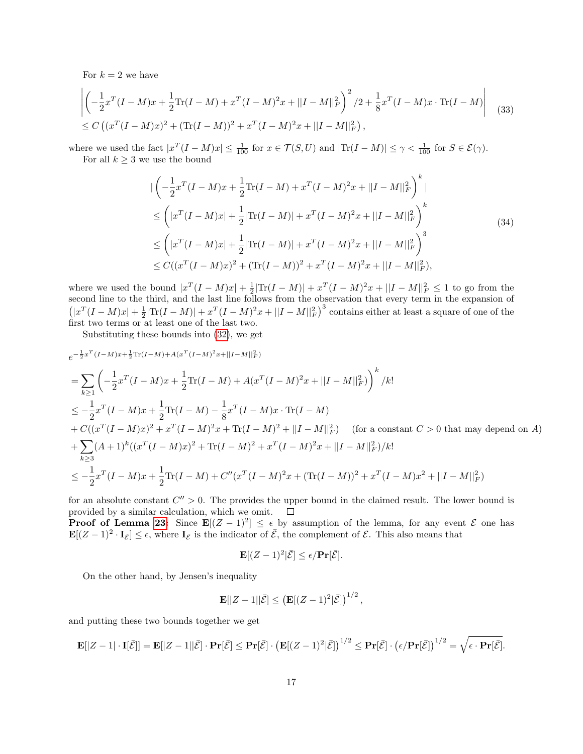For  $k = 2$  we have

$$
\begin{aligned} &\left| \left( -\frac{1}{2} x^T (I - M) x + \frac{1}{2} \text{Tr}(I - M) + x^T (I - M)^2 x + ||I - M||_F^2 \right)^2 / 2 + \frac{1}{8} x^T (I - M) x \cdot \text{Tr}(I - M) \right| \\ &\le C \left( (x^T (I - M) x)^2 + (\text{Tr}(I - M))^2 + x^T (I - M)^2 x + ||I - M||_F^2 \right), \end{aligned} \tag{33}
$$

where we used the fact  $|x^T(I-M)x| \leq \frac{1}{100}$  for  $x \in \mathcal{T}(S, U)$  and  $|\text{Tr}(I-M)| \leq \gamma < \frac{1}{100}$  for  $S \in \mathcal{E}(\gamma)$ . For all  $k \geq 3$  we use the bound

$$
\begin{split}\n&|\left(-\frac{1}{2}x^T(I-M)x+\frac{1}{2}\text{Tr}(I-M)+x^T(I-M)^2x+||I-M||_F^2\right)^k| \\
&\leq \left(|x^T(I-M)x|+\frac{1}{2}|\text{Tr}(I-M)|+x^T(I-M)^2x+||I-M||_F^2\right)^k \\
&\leq \left(|x^T(I-M)x|+\frac{1}{2}|\text{Tr}(I-M)|+x^T(I-M)^2x+||I-M||_F^2\right)^3 \\
&\leq C((x^T(I-M)x)^2+(\text{Tr}(I-M))^2+x^T(I-M)^2x+||I-M||_F^2),\n\end{split}
$$
\n(34)

where we used the bound  $|x^T(I-M)x| + \frac{1}{2}|\text{Tr}(I-M)| + x^T(I-M)^2x + ||I-M||_F^2 \leq 1$  to go from the second line to the third, and the last line follows from the observation that every term in the expansion of  $(|x^T(I-M)x| + \frac{1}{2}|\text{Tr}(I-M)| + x^T(I-M)^2x + ||I-M||_F^2$  contains either at least a square of one of the first two terms or at least one of the last two.

Substituting these bounds into [\(32\)](#page-15-0), we get

$$
e^{-\frac{1}{2}x^{T}(I-M)x+\frac{1}{2}\text{Tr}(I-M)+A(x^{T}(I-M)^{2}x+||I-M||_{F}^{2})}
$$
\n
$$
=\sum_{k\geq 1}\left(-\frac{1}{2}x^{T}(I-M)x+\frac{1}{2}\text{Tr}(I-M)+A(x^{T}(I-M)^{2}x+||I-M||_{F}^{2})\right)^{k}/k!
$$
\n
$$
\leq -\frac{1}{2}x^{T}(I-M)x+\frac{1}{2}\text{Tr}(I-M)-\frac{1}{8}x^{T}(I-M)x\cdot\text{Tr}(I-M)
$$
\n
$$
+C((x^{T}(I-M)x)^{2}+x^{T}(I-M)^{2}x+\text{Tr}(I-M)^{2}+||I-M||_{F}^{2}) \quad \text{(for a constant } C>0 \text{ that may depend on } A)
$$
\n
$$
+\sum_{k\geq 3}(A+1)^{k}((x^{T}(I-M)x)^{2}+\text{Tr}(I-M)^{2}+x^{T}(I-M)^{2}x+||I-M||_{F}^{2})/k!
$$
\n
$$
\leq -\frac{1}{2}x^{T}(I-M)x+\frac{1}{2}\text{Tr}(I-M)+C''(x^{T}(I-M)^{2}x+(\text{Tr}(I-M))^{2}+x^{T}(I-M)x^{2}+||I-M||_{F}^{2})
$$

for an absolute constant  $C'' > 0$ . The provides the upper bound in the claimed result. The lower bound is provided by a similar calculation, which we omit.  $\Box$ 

**Proof of Lemma [23:](#page-10-2)** Since  $\mathbf{E}[(Z-1)^2] \leq \epsilon$  by assumption of the lemma, for any event  $\mathcal{E}$  one has  $\mathbf{E}[(Z-1)^2 \cdot \mathbf{I}_{\bar{\mathcal{E}}}] \leq \epsilon$ , where  $\mathbf{I}_{\bar{\mathcal{E}}}$  is the indicator of  $\bar{\mathcal{E}}$ , the complement of  $\mathcal{E}$ . This also means that

$$
\mathbf{E}[(Z-1)^2|\bar{\mathcal{E}}] \le \epsilon/\mathbf{Pr}[\bar{\mathcal{E}}].
$$

On the other hand, by Jensen's inequality

$$
\mathbf{E}[|Z-1||\bar{\mathcal{E}}] \leq \left(\mathbf{E}[(Z-1)^2|\bar{\mathcal{E}}]\right)^{1/2},
$$

and putting these two bounds together we get

$$
\mathbf{E}[|Z-1| \cdot \mathbf{I}[\bar{\mathcal{E}}]] = \mathbf{E}[|Z-1||\bar{\mathcal{E}}] \cdot \mathbf{Pr}[\bar{\mathcal{E}}] \leq \mathbf{Pr}[\bar{\mathcal{E}}] \cdot \left(\mathbf{E}[(Z-1)^2|\bar{\mathcal{E}}]\right)^{1/2} \leq \mathbf{Pr}[\bar{\mathcal{E}}] \cdot \left(\epsilon/\mathbf{Pr}[\bar{\mathcal{E}}]\right)^{1/2} = \sqrt{\epsilon \cdot \mathbf{Pr}[\bar{\mathcal{E}}]}.
$$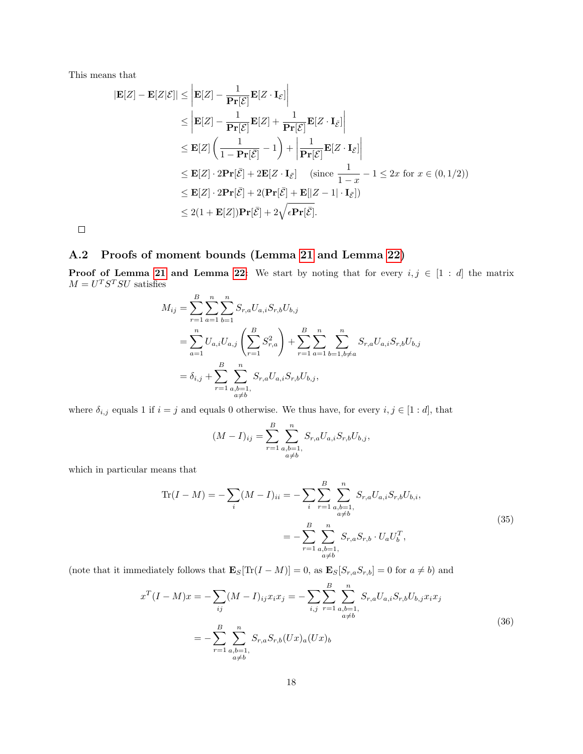This means that

$$
|\mathbf{E}[Z] - \mathbf{E}[Z|\mathcal{E}]| \leq |\mathbf{E}[Z] - \frac{1}{\mathbf{Pr}[\mathcal{E}]} \mathbf{E}[Z \cdot \mathbf{I}_{\mathcal{E}}]|
$$
  
\n
$$
\leq |\mathbf{E}[Z] - \frac{1}{\mathbf{Pr}[\mathcal{E}]} \mathbf{E}[Z] + \frac{1}{\mathbf{Pr}[\mathcal{E}]} \mathbf{E}[Z \cdot \mathbf{I}_{\bar{\mathcal{E}}}]|
$$
  
\n
$$
\leq \mathbf{E}[Z] \left( \frac{1}{1 - \mathbf{Pr}[\bar{\mathcal{E}}]} - 1 \right) + \left| \frac{1}{\mathbf{Pr}[\mathcal{E}]} \mathbf{E}[Z \cdot \mathbf{I}_{\bar{\mathcal{E}}}] \right|
$$
  
\n
$$
\leq \mathbf{E}[Z] \cdot 2\mathbf{Pr}[\bar{\mathcal{E}}] + 2\mathbf{E}[Z \cdot \mathbf{I}_{\bar{\mathcal{E}}}] \quad \text{(since } \frac{1}{1 - x} - 1 \leq 2x \text{ for } x \in (0, 1/2))
$$
  
\n
$$
\leq \mathbf{E}[Z] \cdot 2\mathbf{Pr}[\bar{\mathcal{E}}] + 2(\mathbf{Pr}[\bar{\mathcal{E}}] + \mathbf{E}[|Z - 1| \cdot \mathbf{I}_{\bar{\mathcal{E}}}])
$$
  
\n
$$
\leq 2(1 + \mathbf{E}[Z])\mathbf{Pr}[\bar{\mathcal{E}}] + 2\sqrt{\epsilon \mathbf{Pr}[\bar{\mathcal{E}}]}.
$$

 $\Box$ 

# <span id="page-17-0"></span>A.2 Proofs of moment bounds (Lemma [21](#page-10-0) and Lemma [22\)](#page-10-1)

**Proof of Lemma [21](#page-10-0) and Lemma [22:](#page-10-1)** We start by noting that for every  $i, j \in [1:d]$  the matrix  $M = U<sup>T</sup> S<sup>T</sup> SU$  satisfies

$$
M_{ij} = \sum_{r=1}^{B} \sum_{a=1}^{n} \sum_{b=1}^{n} S_{r,a} U_{a,i} S_{r,b} U_{b,j}
$$
  
= 
$$
\sum_{a=1}^{n} U_{a,i} U_{a,j} \left( \sum_{r=1}^{B} S_{r,a}^{2} \right) + \sum_{r=1}^{B} \sum_{a=1}^{n} \sum_{b=1,b \neq a}^{n} S_{r,a} U_{a,i} S_{r,b} U_{b,j}
$$
  
= 
$$
\delta_{i,j} + \sum_{r=1}^{B} \sum_{\substack{a,b=1,\\a \neq b}}^{n} S_{r,a} U_{a,i} S_{r,b} U_{b,j},
$$

where  $\delta_{i,j}$  equals 1 if  $i = j$  and equals 0 otherwise. We thus have, for every  $i, j \in [1:d]$ , that

$$
(M - I)_{ij} = \sum_{r=1}^{B} \sum_{\substack{a,b=1, \\ a \neq b}}^{n} S_{r,a} U_{a,i} S_{r,b} U_{b,j},
$$

which in particular means that

$$
\text{Tr}(I - M) = -\sum_{i} (M - I)_{ii} = -\sum_{i} \sum_{r=1}^{B} \sum_{\substack{a,b=1,\\a \neq b}}^{n} S_{r,a} U_{a,i} S_{r,b} U_{b,i},
$$
\n
$$
= -\sum_{r=1}^{B} \sum_{\substack{a,b=1,\\a \neq b}}^{n} S_{r,a} S_{r,b} \cdot U_a U_b^T,
$$
\n(35)

(note that it immediately follows that  $\mathbf{E}_{S}[\text{Tr}(I - M)] = 0$ , as  $\mathbf{E}_{S}[S_{r,a}S_{r,b}] = 0$  for  $a \neq b$ ) and

$$
x^{T}(I-M)x = -\sum_{ij}(M-I)_{ij}x_{i}x_{j} = -\sum_{i,j}\sum_{r=1}^{B}\sum_{\substack{a,b=1,\\a\neq b}}^{n}S_{r,a}U_{a,i}S_{r,b}U_{b,j}x_{i}x_{j}
$$

$$
= -\sum_{r=1}^{B}\sum_{\substack{a,b=1,\\a\neq b}}^{n}S_{r,a}S_{r,b}(Ux)_{a}(Ux)_{b}
$$
(36)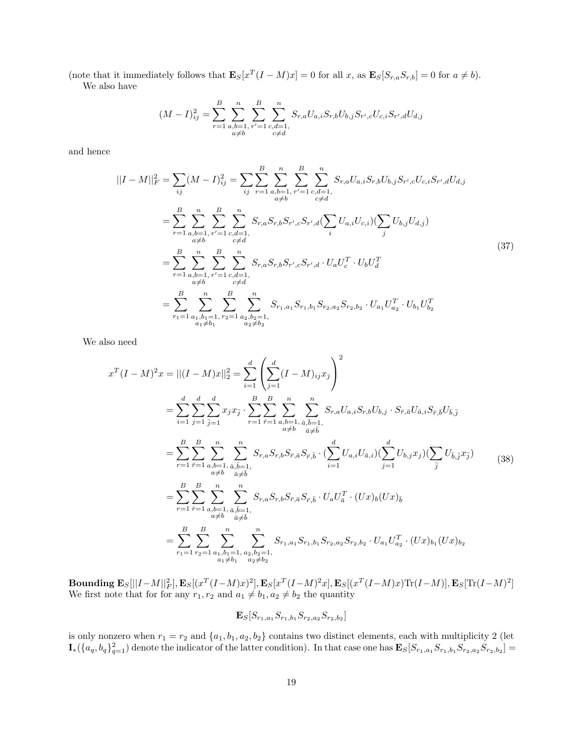(note that it immediately follows that  $\mathbf{E}_{S}[x^T(I-M)x] = 0$  for all x, as  $\mathbf{E}_{S}[S_{r,a}S_{r,b}] = 0$  for  $a \neq b$ ). We also have

$$
(M - I)^2_{ij} = \sum_{r=1}^{B} \sum_{\substack{a,b=1, \\ a \neq b}}^{n} \sum_{\substack{r'=1 \\ c \neq d}}^{n} \sum_{\substack{c,d=1, \\ c \neq d}}^{n} S_{r,a} U_{a,i} S_{r,b} U_{b,j} S_{r',c} U_{c,i} S_{r',d} U_{d,j}
$$

and hence

$$
||I - M||_F^2 = \sum_{ij} (M - I)_{ij}^2 = \sum_{ij} \sum_{r=1}^B \sum_{\substack{a,b=1, \\ a \neq b}}^n \sum_{r'=1}^n \sum_{\substack{c,d=1, \\ c \neq d}}^n S_{r,a} U_{a,i} S_{r,b} U_{b,j} S_{r',c} U_{c,i} S_{r',d} U_{d,j}
$$
  
\n
$$
= \sum_{r=1}^B \sum_{\substack{a,b=1, \\ a \neq b}}^n \sum_{\substack{r'=1 \\ c \neq d}}^n \sum_{\substack{c,d=1, \\ c \neq d}}^n S_{r,a} S_{r,b} S_{r',c} S_{r',d} (\sum_i U_{a,i} U_{c,i}) (\sum_j U_{b,j} U_{d,j})
$$
  
\n
$$
= \sum_{r=1}^B \sum_{\substack{a,b=1, \\ a \neq b}}^n \sum_{\substack{r'=1 \\ c \neq d}}^n S_{r,a} S_{r,b} S_{r',c} S_{r',d} \cdot U_a U_c^T \cdot U_b U_d^T
$$
  
\n
$$
= \sum_{r_1=1}^B \sum_{\substack{a_1, b_1 = 1, \\ a_1 \neq b_1}}^n \sum_{\substack{r_2 = 1 \\ r_2 = 1}}^n \sum_{\substack{a_2, b_2 = 1, \\ a_2 \neq b_2}}^n S_{r_1, a_1} S_{r_1, b_1} S_{r_2, a_2} S_{r_2, b_2} \cdot U_{a_1} U_{a_2}^T \cdot U_{b_1} U_{b_2}^T
$$
  
\n(37)

We also need

$$
x^{T}(I-M)^{2}x = ||(I-M)x||_{2}^{2} = \sum_{i=1}^{d} \left( \sum_{j=1}^{d} (I-M)_{ij}x_{j} \right)^{2}
$$
  
\n
$$
= \sum_{i=1}^{d} \sum_{j=1}^{d} \sum_{j=1}^{d} x_{j}x_{j} \cdot \sum_{r=1}^{B} \sum_{r=1}^{B} \sum_{a,b=1, a,b=1, a,b=1, a, \bar{b}=1, \atop a \neq b}^{n} S_{r,a}U_{a,i}S_{r,b}U_{b,j} \cdot S_{\bar{r},\bar{a}}U_{\bar{a},i}S_{\bar{r},\bar{b}}U_{\bar{b},\bar{j}}
$$
  
\n
$$
= \sum_{r=1}^{B} \sum_{\substack{r=1 \ r \neq 1}}^{B} \sum_{\substack{a,b=1, a,b=1, \bar{a}, \bar{b}=1, \atop a \neq b}}^{n} S_{r,a}S_{r,b}S_{\bar{r},\bar{a}}S_{\bar{r},\bar{b}} \cdot (\sum_{i=1}^{d} U_{a,i}U_{\bar{a},i})(\sum_{j=1}^{d} U_{b,j}x_{j})(\sum_{\bar{j}} U_{\bar{b},\bar{j}}x_{\bar{j}})
$$
  
\n
$$
= \sum_{r=1}^{B} \sum_{\bar{r}=1}^{B} \sum_{\substack{a,b=1, \bar{a}, \bar{b}=1, \atop a \neq b}}^{n} S_{r,a}S_{r,b}S_{\bar{r},\bar{a}}S_{\bar{r},\bar{b}} \cdot U_{a}U_{\bar{a}}^{T} \cdot (Ux)_{b}(Ux)_{\bar{b}}
$$
  
\n
$$
= \sum_{r=1}^{B} \sum_{r=1}^{B} \sum_{\substack{a,b=1, a \ge b \ge 1, \atop a \neq b}}^{n} S_{r,a}S_{r,a}S_{r,b}S_{\bar{r},\bar{a}}S_{\bar{r},\bar{b}} \cdot U_{a}U_{\bar{a}}^{T} \cdot (Ux)_{b}(Ux)_{b}
$$
  
\n
$$
= \sum_{r_{1}=1}^{B} \sum_{r_{2}=1}^{B} \sum_{\substack{a_{1}, b_{1}=1, a \
$$

 ${\bf Bounding }\; {\bf E}_{S}[||I-M||_F^2], {\bf E}_{S}[(x^T(I-M)x)^2], {\bf E}_{S}[x^T(I-M)^2x], {\bf E}_{S}[(x^T(I-M)x){\rm Tr}(I-M)], {\bf E}_{S}[{\rm Tr}(I-M)^2]$ We first note that for for any  $r_1, r_2$  and  $a_1 \neq b_1, a_2 \neq b_2$  the quantity

$$
\mathbf{E}_{S}[S_{r_1,a_1}S_{r_1,b_1}S_{r_2,a_2}S_{r_2,b_2}]
$$

is only nonzero when  $r_1 = r_2$  and  $\{a_1, b_1, a_2, b_2\}$  contains two distinct elements, each with multiplicity 2 (let  $\mathbf{I}_{*}(\{a_q, b_q\}_{q=1}^2)$  denote the indicator of the latter condition). In that case one has  $\mathbf{E}_{S}[S_{r_1,a_1}S_{r_1,b_1}S_{r_2,a_2}S_{r_2,b_2}] =$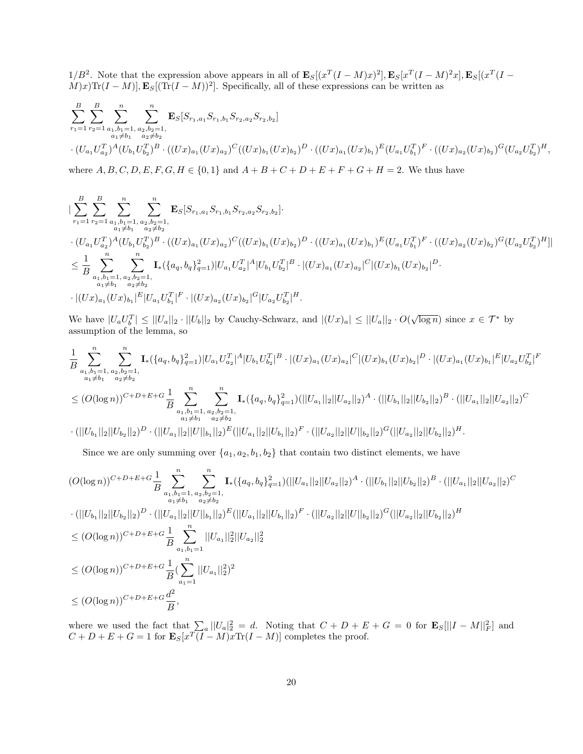$1/B^2$ . Note that the expression above appears in all of  $\mathbf{E}_S[(x^T(I-M)x)^2], \mathbf{E}_S[x^T(I-M)^2x], \mathbf{E}_S[(x^T(I-M)x)^2], \mathbf{E}_S$  $(M)x$ Tr $(I - M)$ ,  $\mathbf{E}_{S}[(Tr(I - M))^{2}]$ . Specifically, all of these expressions can be written as

$$
\sum_{r_1=1}^{B} \sum_{r_2=1}^{B} \sum_{\substack{a_1,b_1=1, a_2,b_2=1, a_1 \neq b_1 \\ a_1 \neq b_1}} \sum_{\substack{a_2,b_2=1, a_2 \neq b_2 \\ a_2 \neq b_2}}^n \mathbf{E}_S[S_{r_1,a_1} S_{r_1,b_1} S_{r_2,a_2} S_{r_2,b_2}]
$$
  

$$
\cdot (U_{a_1} U_{a_2}^T)^A (U_{b_1} U_{b_2}^T)^B \cdot ((Ux)_{a_1} (Ux)_{a_2})^C ((Ux)_{b_1} (Ux)_{b_2})^D \cdot ((Ux)_{a_1} (Ux)_{b_1})^E (U_{a_1} U_{b_1}^T)^F \cdot ((Ux)_{a_2} (Ux)_{b_2})^G (U_{a_2} U_{b_2}^T)^H,
$$

where  $A, B, C, D, E, F, G, H \in \{0, 1\}$  and  $A + B + C + D + E + F + G + H = 2$ . We thus have

$$
\begin{split}\n&\sum_{r_1=1}^{B} \sum_{r_2=1}^{B} \sum_{\substack{a_1,b_1=1, a_2,b_2=1, a_1 \neq b_1}}^{n} \sum_{\substack{a_2 \neq b_2}}^{n} \mathbf{E}_S[S_{r_1,a_1} S_{r_1,b_1} S_{r_2,a_2} S_{r_2,b_2}]. \\
&\cdot (U_{a_1} U_{a_2}^T)^A (U_{b_1} U_{b_2}^T)^B \cdot ((Ux)_{a_1} (Ux)_{a_2})^C ((Ux)_{b_1} (Ux)_{b_2})^D \cdot ((Ux)_{a_1} (Ux)_{b_1})^E (U_{a_1} U_{b_1}^T)^F \cdot ((Ux)_{a_2} (Ux)_{b_2})^G (U_{a_2} U_{b_2}^T)^H] \\ &\leq \frac{1}{B} \sum_{\substack{a_1,b_1=1, a_2,b_2=1, a_2 \neq b_2}}^{n} \mathbf{I}_*({a_q, b_q}_{q=1}^2) |U_{a_1} U_{a_2}^T|^A |U_{b_1} U_{b_2}^T|^B \cdot |(Ux)_{a_1} (Ux)_{a_2}|^C |(Ux)_{b_1} (Ux)_{b_2}|^D. \\
&\cdot |(Ux)_{a_1} (Ux)_{b_1}|^E |U_{a_1} U_{b_1}^T|^F \cdot |(Ux)_{a_2} (Ux)_{b_2}|^G |U_{a_2} U_{b_2}^T|^H.\n\end{split}
$$

We have  $|U_a U_b^T| \leq ||U_a||_2 \cdot ||U_b||_2$  by Cauchy-Schwarz, and  $|(Ux)_a| \leq ||U_a||_2 \cdot O(\sqrt{\log n})$  since  $x \in \mathcal{T}^*$  by assumption of the lemma, so

$$
\frac{1}{B}\sum_{\substack{a_1,b_1=1,\ a_2,b_2=1,\ a_1\neq b_1}}^{n} \sum_{\substack{a_1\neq b_1,\ a_2\neq b_2}}^{n} \mathbf{I}_{*}(\{a_q,b_q\}_{q=1}^2)|U_{a_1}U_{a_2}^T|^A|U_{b_1}U_{b_2}^T|^B \cdot |(Ux)_{a_1}(Ux)_{a_2}|^C|(Ux)_{b_1}(Ux)_{b_2}|^D \cdot |(Ux)_{a_1}(Ux)_{b_1}|^E|U_{a_2}U_{b_2}^T|^F
$$
  

$$
\leq (O(\log n))^{C+D+E+G} \frac{1}{B}\sum_{\substack{a_1,b_1=1,\ a_2,b_2=1,\ a_1\neq b_1,\ a_2\neq b_2}}^{n} \sum_{\substack{a_1\neq b_1,\ a_2\neq b_2}}^{n} \mathbf{I}_{*}(\{a_q,b_q\}_{q=1}^2)(||U_{a_1}||_2||U_{a_2}||_2)^A \cdot (||U_{b_1}||_2||U_{b_2}||_2)^B \cdot (||U_{a_1}||_2||U_{a_2}||_2)^C
$$
  

$$
\cdot (||U_{b_1}||_2||U_{b_2}||_2)^D \cdot (||U_{a_1}||_2||U||_{b_1}||_2)^E(||U_{a_1}||_2||U_{b_1}||_2)^F \cdot (||U_{a_2}||_2||U||_{b_2}||_2)^G (||U_{a_2}||_2||U_{b_2}||_2)^H.
$$

Since we are only summing over  $\{a_1, a_2, b_1, b_2\}$  that contain two distinct elements, we have

$$
(O(\log n))^{C+D+E+G} \frac{1}{B} \sum_{\substack{a_1, b_1=1, a_2, b_2=1, a_3 \neq b_2 \\ a_1 \neq b_1}}^n \sum_{\substack{a_2, b_2=1, a_2 \neq b_2 \\ a_2 \neq b_2}}^n \mathbf{I}_*({a_q, b_q}_{q=1}^2) (||U_{a_1}||_2||U_{a_2}||_2)^A \cdot (||U_{b_1}||_2||U_{b_2}||_2)^B \cdot (||U_{a_1}||_2||U_{a_2}||_2)^C
$$
  
\n
$$
\cdot (||U_{b_1}||_2||U_{b_2}||_2)^D \cdot (||U_{a_1}||_2||U||_{b_1}||_2)^E (||U_{a_1}||_2||U_{b_1}||_2)^F \cdot (||U_{a_2}||_2||U||_{b_2}||_2)^G (||U_{a_2}||_2||U_{b_2}||_2)^H
$$
  
\n
$$
\leq (O(\log n))^{C+D+E+G} \frac{1}{B} \sum_{a_1, b_1=1}^n ||U_{a_1}||_2^2 ||U_{a_2}||_2^2
$$
  
\n
$$
\leq (O(\log n))^{C+D+E+G} \frac{1}{B} (\sum_{a_1=1}^n ||U_{a_1}||_2^2)^2
$$
  
\n
$$
\leq (O(\log n))^{C+D+E+G} \frac{d^2}{B},
$$

where we used the fact that  $\sum_a ||U_a|_2^2 = d$ . Noting that  $C + D + E + G = 0$  for  $\mathbf{E}_S[||I - M||_F^2]$  and  $C + D + E + G = 1$  for  $\mathbf{E}_S[x^T(I - M)x \text{Tr}(I - M)]$  completes the proof.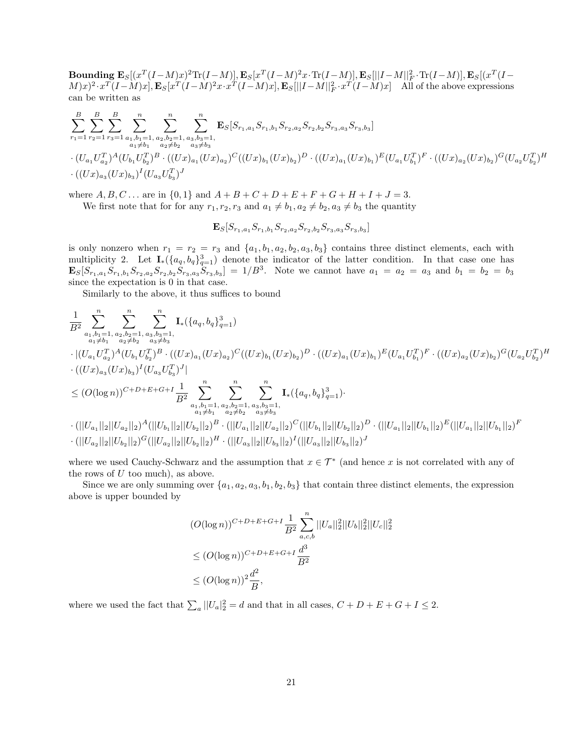$\textbf{Boundary } \textbf{E}_{S}[(x^T(I-M)x)^2\text{Tr}(I-M)] \text{, } \textbf{E}_{S}[x^T(I-M)^2x\cdot\text{Tr}(I-M)] \text{, } \textbf{E}_{S}[||I-M||_F^2\cdot\text{Tr}(I-M)] \text{, } \textbf{E}_{S}[(x^T(I-M)^2)x\cdot\text{Tr}(I-M)] \text{, } \textbf{E}_{S}[||I-M||_F^2\cdot\text{Tr}(I-M)] \text{, } \textbf{E}_{S}[||I-M||_F^2\cdot\text{Tr}(I-M)] \text{, }$  $(M)x)^2 \cdot x^T(I-M)x], \mathbf{E}_S[x^T(I-M)^2x \cdot x^T(I-M)x], \mathbf{E}_S[||I-M||_F^2 \cdot x^T(I-M)x]$  All of the above expressions can be written as

$$
\sum_{r_1=1}^{B} \sum_{r_2=1}^{B} \sum_{r_3=1}^{B} \sum_{\substack{a_1, b_1=1, a_2, b_2=1, a_3, b_3=1, a_4 \neq b_1}}^{n} \sum_{\substack{a_2, b_2=1, a_3, b_3=1, a_4 \neq b_2}}^{n} \mathbf{E}_S[S_{r_1, a_1} S_{r_1, b_1} S_{r_2, a_2} S_{r_2, b_2} S_{r_3, a_3} S_{r_3, b_3}]
$$
  

$$
\cdot (U_{a_1} U_{a_2}^T)^A (U_{b_1} U_{b_2}^T)^B \cdot ((Ux)_{a_1} (Ux)_{a_2})^C ((Ux)_{b_1} (Ux)_{b_2})^D \cdot ((Ux)_{a_1} (Ux)_{b_1})^E (U_{a_1} U_{b_1}^T)^F \cdot ((Ux)_{a_2} (Ux)_{b_2})^G (U_{a_2} U_{b_2}^T)^H
$$
  

$$
\cdot ((Ux)_{a_3} (Ux)_{b_3})^I (U_{a_3} U_{b_3}^T)^J
$$

where  $A, B, C...$  are in  $\{0,1\}$  and  $A + B + C + D + E + F + G + H + I + J = 3.$ 

We first note that for for any  $r_1, r_2, r_3$  and  $a_1 \neq b_1, a_2 \neq b_2, a_3 \neq b_3$  the quantity

$$
{\bf E}_{S}[S_{r_1,a_1}S_{r_1,b_1}S_{r_2,a_2}S_{r_2,b_2}S_{r_3,a_3}S_{r_3,b_3}]
$$

is only nonzero when  $r_1 = r_2 = r_3$  and  $\{a_1, b_1, a_2, b_2, a_3, b_3\}$  contains three distinct elements, each with multiplicity 2. Let  $I_*(\{a_q, b_q\}_{q=1}^3)$  denote the indicator of the latter condition. In that case one has  $\mathbf{E}_{S}[S_{r_1,a_1}S_{r_1,b_1}S_{r_2,a_2}S_{r_2,b_2}S_{r_3,a_3}S_{r_3,b_3}] = 1/B^3$ . Note we cannot have  $a_1 = a_2 = a_3$  and  $b_1 = b_2 = b_3$ since the expectation is 0 in that case.

Similarly to the above, it thus suffices to bound

$$
\begin{aligned} &\frac{1}{B^2}\sum_{\substack{a_1,b_1=1,\ a_2,b_2=1,\ a_3,b_3=1,\ b_1+a_2\neq b_2}}^n \sum_{\substack{a_3,b_3=1,\ b_1+a_2\neq b_2}}^n \mathbf{I}_*(\{a_q,b_q\}_{q=1}^3)\\ &\cdot |(U_{a_1}U_{a_2}^T)^A(U_{b_1}U_{b_2}^T)^B\cdot ((Ux)_{a_1}(Ux)_{a_2})^C((Ux)_{b_1}(Ux)_{b_2})^D\cdot ((Ux)_{a_1}(Ux)_{b_1})^E(U_{a_1}U_{b_1}^T)^F\cdot ((Ux)_{a_2}(Ux)_{b_2})^G(U_{a_2}U_{b_2}^T)^H\\ &\leq (O(\log n))^{C+D+E+G+I}\frac{1}{B^2}\sum_{\substack{a_1,b_1=1,\ a_2,b_2=1,\ a_3,b_3=1,\ a_1\neq b_1}}^n \sum_{\substack{a_2\neq b_2 \ a_3\neq b_3}}^n \mathbf{I}_*(\{a_q,b_q\}_{q=1}^3).\\ &\cdot (||U_{a_1}||_2||U_{a_2}||_2)^A(||U_{b_1}||_2||U_{b_2}||_2)^B\cdot (||U_{a_1}||_2||U_{a_2}||_2)^C(||U_{b_1}||_2||U_{b_2}||_2)^D\cdot (||U_{a_1}||_2||U_{b_1}||_2)^E(||U_{a_1}||_2||U_{b_1}||_2)^F\\ &\cdot (||U_{a_2}||_2||U_{b_2}||_2)^G(||U_{a_2}||_2||U_{b_2}||_2)^H\cdot (||U_{a_3}||_2||U_{b_3}||_2)^J(||U_{a_3}||_2||U_{b_3}||_2)^J \end{aligned}
$$

where we used Cauchy-Schwarz and the assumption that  $x \in \mathcal{T}^*$  (and hence x is not correlated with any of the rows of  $U$  too much), as above.

Since we are only summing over  $\{a_1, a_2, a_3, b_1, b_2, b_3\}$  that contain three distinct elements, the expression above is upper bounded by

$$
(O(\log n))^{C+D+E+G+I} \frac{1}{B^2} \sum_{a,c,b}^{n} ||U_a||_2^2 ||U_b||_2^2 ||U_c||_2^2
$$
  
\n
$$
\leq (O(\log n))^{C+D+E+G+I} \frac{d^3}{B^2}
$$
  
\n
$$
\leq (O(\log n))^2 \frac{d^2}{B},
$$

where we used the fact that  $\sum_a ||U_a|_2^2 = d$  and that in all cases,  $C + D + E + G + I \leq 2$ .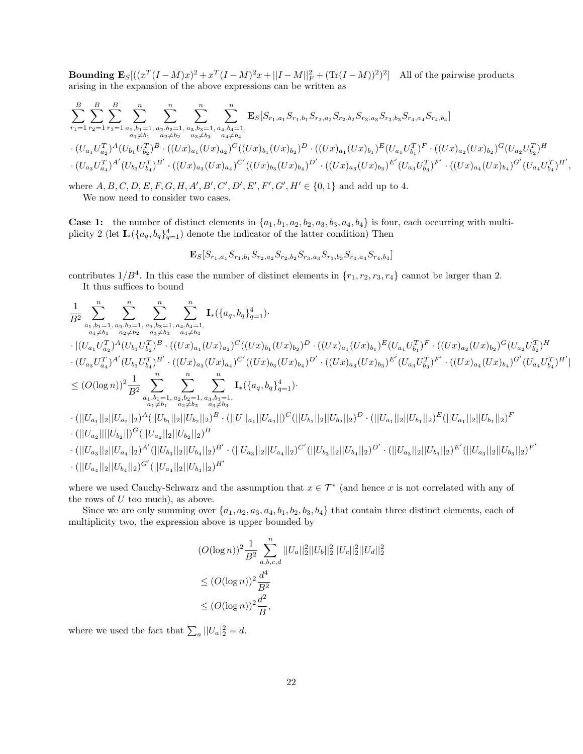**Bounding**  $\mathbf{E}_{S}[(x^T(I-M)x)^2 + x^T(I-M)^2x + ||I-M||_F^2 + (\text{Tr}(I-M))^2)^2]$  All of the pairwise products arising in the expansion of the above expressions can be written as

$$
\sum_{r_1=1}^{B} \sum_{r_2=1}^{B} \sum_{r_3=1}^{R} \sum_{\substack{a_1,b_1=1, a_2,b_2=1, a_3,b_3=1, a_4,b_4=1, a_5,b_6 \ a_2 \neq b_2}} \sum_{\substack{a_3 \neq b_3 \ a_4 \neq b_4}}^{n} \sum_{\substack{a_4,b_4=1, a_4 \neq b_4}}^{R} \mathbf{E}_S[S_{r_1,a_1}S_{r_1,b_1}S_{r_2,a_2}S_{r_2,b_2}S_{r_3,a_3}S_{r_3,b_3}S_{r_4,a_4}S_{r_4,b_4}]
$$
  
\n
$$
\cdot (U_{a_1}U_{a_2}^T)^A (U_{b_1}U_{b_2}^T)^B \cdot ((Ux)_{a_1}(Ux)_{a_2})^C ((Ux)_{b_1}(Ux)_{b_2})^D \cdot ((Ux)_{a_1}(Ux)_{b_1})^E (U_{a_1}U_{b_1}^T)^F \cdot ((Ux)_{a_2}(Ux)_{b_2})^G (U_{a_2}U_{b_2}^T)^H
$$
  
\n
$$
\cdot (U_{a_3}U_{a_4}^T)^{A'} (U_{b_3}U_{b_4}^T)^{B'} \cdot ((Ux)_{a_3}(Ux)_{a_4})^{C'} ((Ux)_{b_3}(Ux)_{b_4})^{D'} \cdot ((Ux)_{a_3}(Ux)_{b_3})^{E'} (U_{a_3}U_{b_3}^T)^{F'} \cdot ((Ux)_{a_4}(Ux)_{b_4})^{G'} (U_{a_4}U_{b_4}^T)^{H'}
$$

,

where  $A, B, C, D, E, F, G, H, A', B', C', D', E', F', G', H' \in \{0, 1\}$  and add up to 4. We now need to consider two cases.

**Case 1:** the number of distinct elements in  $\{a_1, b_1, a_2, b_2, a_3, b_3, a_4, b_4\}$  is four, each occurring with multiplicity 2 (let  $I_*(\{a_q, b_q\}_{q=1}^4)$  denote the indicator of the latter condition) Then

$$
\mathbf{E}_{S}[S_{r_1,a_1}S_{r_1,b_1}S_{r_2,a_2}S_{r_2,b_2}S_{r_3,a_3}S_{r_3,b_3}S_{r_4,a_4}S_{r_4,b_4}]
$$

contributes  $1/B^4$ . In this case the number of distinct elements in  $\{r_1, r_2, r_3, r_4\}$  cannot be larger than 2. It thus suffices to bound

$$
\frac{1}{B^2} \sum_{\substack{a_1, b_1 = 1, a_2, b_2 = 1, a_3, b_3 = 1, a_4, b_4 = 1, a_5 \neq b_4}} \sum_{a_3 \neq b_3}^n \sum_{\substack{a_3 \neq b_4 \\ a_4 \neq b_1}}^n \mathbf{I}_*(\{a_q, b_q\}_{q=1}^4). \n\cdot |(U_{a_1} U_{a_2}^T)^A (U_{b_1} U_{b_2}^T)^B \cdot ((Ux)_{a_1} (Ux)_{a_2})^C ((Ux)_{b_1} (Ux)_{b_2})^D \cdot ((Ux)_{a_1} (Ux)_{b_1})^E (U_{a_1} U_{b_1}^T)^F \cdot ((Ux)_{a_2} (Ux)_{b_2})^G (U_{a_2} U_{b_2}^T)^H \n\cdot (U_{a_3} U_{a_4}^T)^{A'} (U_{b_3} U_{b_4}^T)^{B'} \cdot ((Ux)_{a_3} (Ux)_{a_4})^{C'} ((Ux)_{b_3} (Ux)_{b_4})^{D'} \cdot ((Ux)_{a_3} (Ux)_{b_3})^E' (U_{a_3} U_{b_3}^T)^{F'} \cdot ((Ux)_{a_4} (Ux)_{b_4})^{G'} (U_{a_4} U_{b_4}^T)^{H'}| \n\leq (O(\log n))^2 \frac{1}{B^2} \sum_{\substack{a_1, b_1 = 1, a_2, b_2 = 1, a_3, b_3 = 1, a_4 \neq b_2}}^n \sum_{\substack{a_3 \neq b_3 \\ a_1 \neq b_2}}^n \mathbf{I}_*(\{a_q, b_q\}_{q=1}^4).
$$
\n
$$
\cdot (||U_{a_1}||_2||U_{a_2}||_2)^A (||U_{b_1}||_2||U_{b_2}||_2)^B \cdot (||U||_{a_1}||U_{a_2}||)^C (||U_{b_1}||_2||U_{b_2}||_2)^D \cdot (||U_{a_1}||_2||U_{b_1}||_2)^E (||U_{a_1}||_2||U_{b_1}||_2)^F
$$
\n
$$
\cdot (||U
$$

where we used Cauchy-Schwarz and the assumption that  $x \in \mathcal{T}^*$  (and hence x is not correlated with any of the rows of  $U$  too much), as above.

Since we are only summing over  $\{a_1, a_2, a_3, a_4, b_1, b_2, b_3, b_4\}$  that contain three distinct elements, each of multiplicity two, the expression above is upper bounded by

$$
(O(\log n))^2 \frac{1}{B^2} \sum_{a,b,c,d}^n ||U_a||_2^2 ||U_b||_2^2 ||U_c||_2^2 ||U_d||_2^2
$$
  
\n
$$
\leq (O(\log n))^2 \frac{d^4}{B^2}
$$
  
\n
$$
\leq (O(\log n))^2 \frac{d^2}{B},
$$

where we used the fact that  $\sum_{a} ||U_a|_2^2 = d$ .